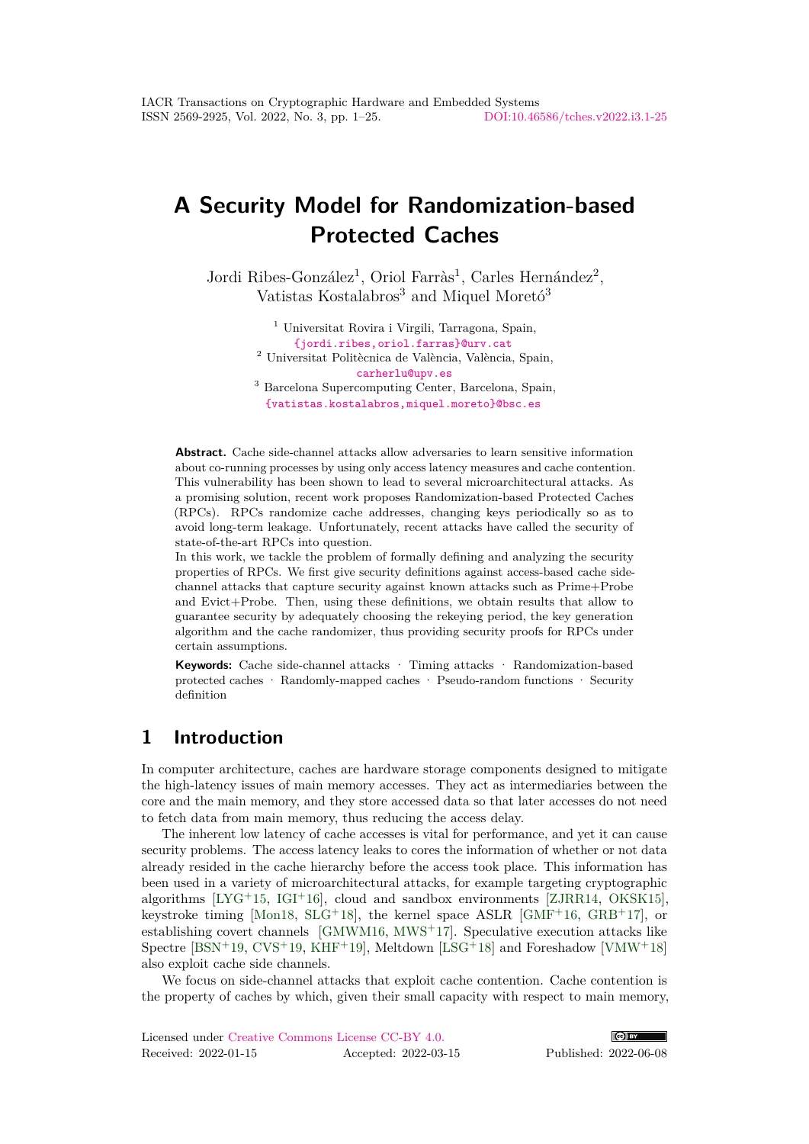# **A Security Model for Randomization-based Protected Caches**

Jordi Ribes-González<sup>1</sup>, Oriol Farràs<sup>1</sup>, Carles Hernández<sup>2</sup>, Vatistas Kostalabros<sup>3</sup> and Miquel Moretó<sup>3</sup>

> <sup>1</sup> Universitat Rovira i Virgili, Tarragona, Spain, [{jordi.ribes,oriol.farras}@urv.cat](mailto:jordi.ribes@urv.cat, oriol.farras@urv.cat) <sup>2</sup> Universitat Politècnica de València, València, Spain, [carherlu@upv.es](mailto:carherlu@upv.es)

<sup>3</sup> Barcelona Supercomputing Center, Barcelona, Spain, [{vatistas.kostalabros,miquel.moreto}@bsc.es](mailto:vatistas.kostalabros@bsc.es, miquel.moreto@bsc.es)

**Abstract.** Cache side-channel attacks allow adversaries to learn sensitive information about co-running processes by using only access latency measures and cache contention. This vulnerability has been shown to lead to several microarchitectural attacks. As a promising solution, recent work proposes Randomization-based Protected Caches (RPCs). RPCs randomize cache addresses, changing keys periodically so as to avoid long-term leakage. Unfortunately, recent attacks have called the security of state-of-the-art RPCs into question.

In this work, we tackle the problem of formally defining and analyzing the security properties of RPCs. We first give security definitions against access-based cache sidechannel attacks that capture security against known attacks such as Prime+Probe and Evict+Probe. Then, using these definitions, we obtain results that allow to guarantee security by adequately choosing the rekeying period, the key generation algorithm and the cache randomizer, thus providing security proofs for RPCs under certain assumptions.

**Keywords:** Cache side-channel attacks · Timing attacks · Randomization-based protected caches · Randomly-mapped caches · Pseudo-random functions · Security definition

# **1 Introduction**

In computer architecture, caches are hardware storage components designed to mitigate the high-latency issues of main memory accesses. They act as intermediaries between the core and the main memory, and they store accessed data so that later accesses do not need to fetch data from main memory, thus reducing the access delay.

The inherent low latency of cache accesses is vital for performance, and yet it can cause security problems. The access latency leaks to cores the information of whether or not data already resided in the cache hierarchy before the access took place. This information has been used in a variety of microarchitectural attacks, for example targeting cryptographic algorithms  $[LYG+15, IGI+16]$  $[LYG+15, IGI+16]$  $[LYG+15, IGI+16]$  $[LYG+15, IGI+16]$ , cloud and sandbox environments [\[ZJRR14,](#page-22-0) [OKSK15\]](#page-20-1), keystroke timing [\[Mon18,](#page-20-2)  $SLG+18$  $SLG+18$ ], the kernel space ASLR [\[GMF](#page-19-1)+16,  $GRB+17$  $GRB+17$ ], or establishing covert channels [\[GMWM16,](#page-19-3) [MWS](#page-20-3)<sup>+</sup>17]. Speculative execution attacks like Spectre  $[BSN^+19, CVS^+19, KHF^+19]$  $[BSN^+19, CVS^+19, KHF^+19]$  $[BSN^+19, CVS^+19, KHF^+19]$  $[BSN^+19, CVS^+19, KHF^+19]$  $[BSN^+19, CVS^+19, KHF^+19]$  $[BSN^+19, CVS^+19, KHF^+19]$ , Meltdown  $[LSG^+18]$  $[LSG^+18]$  and Foreshadow  $[VMW^+18]$  $[VMW^+18]$ also exploit cache side channels.

We focus on side-channel attacks that exploit cache contention. Cache contention is the property of caches by which, given their small capacity with respect to main memory,

| Licensed under Creative Commons License CC-BY 4.0. |  |  |                      |
|----------------------------------------------------|--|--|----------------------|
| Received: 2022-01-15                               |  |  | Accepted: 2022-03-15 |

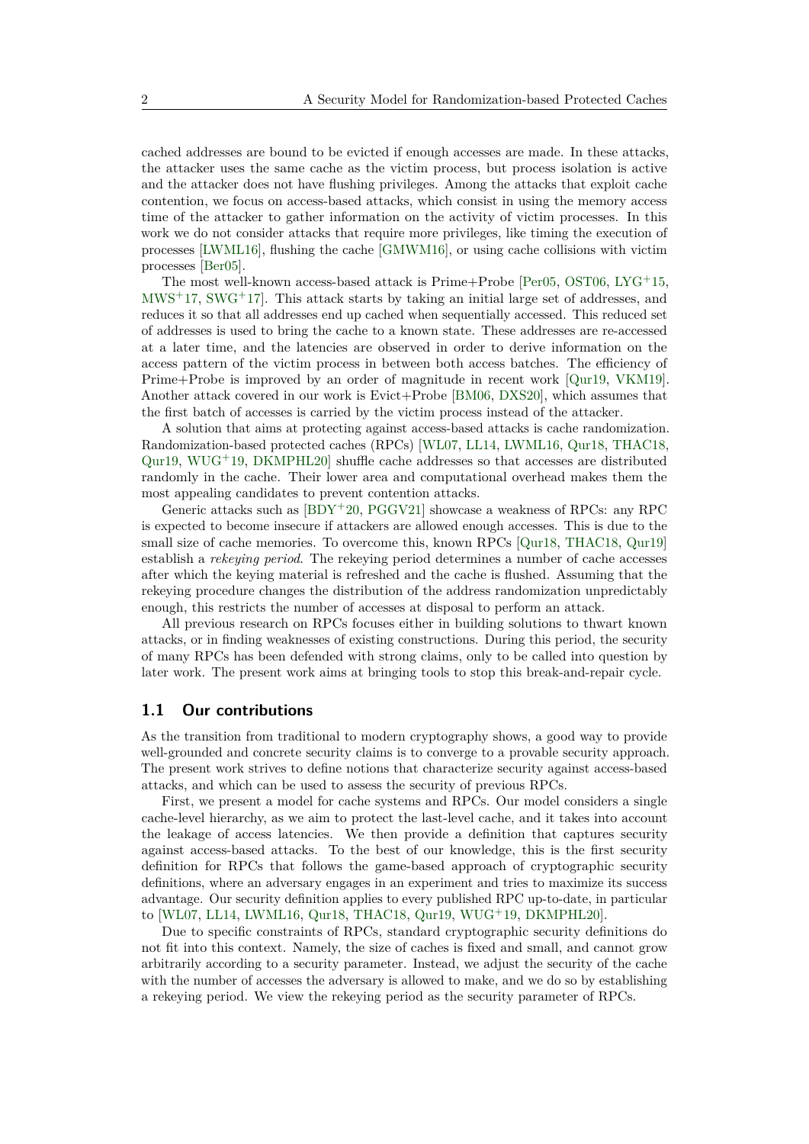cached addresses are bound to be evicted if enough accesses are made. In these attacks, the attacker uses the same cache as the victim process, but process isolation is active and the attacker does not have flushing privileges. Among the attacks that exploit cache contention, we focus on access-based attacks, which consist in using the memory access time of the attacker to gather information on the activity of victim processes. In this work we do not consider attacks that require more privileges, like timing the execution of processes [\[LWML16\]](#page-20-5), flushing the cache [\[GMWM16\]](#page-19-3), or using cache collisions with victim processes [\[Ber05\]](#page-18-2).

The most well-known access-based attack is  $Prime+Probe$  [\[Per05,](#page-20-6) [OST06,](#page-20-7) [LYG](#page-20-0)<sup>+</sup>15,  $MWS^+17$  $MWS^+17$ , [SWG](#page-21-2)<sup>+</sup>17. This attack starts by taking an initial large set of addresses, and reduces it so that all addresses end up cached when sequentially accessed. This reduced set of addresses is used to bring the cache to a known state. These addresses are re-accessed at a later time, and the latencies are observed in order to derive information on the access pattern of the victim process in between both access batches. The efficiency of Prime+Probe is improved by an order of magnitude in recent work [\[Qur19,](#page-21-3) [VKM19\]](#page-21-4). Another attack covered in our work is Evict+Probe [\[BM06,](#page-18-3) [DXS20\]](#page-19-5), which assumes that the first batch of accesses is carried by the victim process instead of the attacker.

A solution that aims at protecting against access-based attacks is cache randomization. Randomization-based protected caches (RPCs) [\[WL07,](#page-21-5) [LL14,](#page-20-8) [LWML16,](#page-20-5) [Qur18,](#page-20-9) [THAC18,](#page-21-6) [Qur19,](#page-21-3) [WUG](#page-22-1)<sup> $+$ </sup>19, DKMPHL20 shuffle cache addresses so that accesses are distributed randomly in the cache. Their lower area and computational overhead makes them the most appealing candidates to prevent contention attacks.

Generic attacks such as  $[BDY^+20, PGGV21]$  $[BDY^+20, PGGV21]$  $[BDY^+20, PGGV21]$  showcase a weakness of RPCs: any RPC is expected to become insecure if attackers are allowed enough accesses. This is due to the small size of cache memories. To overcome this, known RPCs [\[Qur18,](#page-20-9) [THAC18,](#page-21-6) [Qur19\]](#page-21-3) establish a *rekeying period*. The rekeying period determines a number of cache accesses after which the keying material is refreshed and the cache is flushed. Assuming that the rekeying procedure changes the distribution of the address randomization unpredictably enough, this restricts the number of accesses at disposal to perform an attack.

All previous research on RPCs focuses either in building solutions to thwart known attacks, or in finding weaknesses of existing constructions. During this period, the security of many RPCs has been defended with strong claims, only to be called into question by later work. The present work aims at bringing tools to stop this break-and-repair cycle.

## **1.1 Our contributions**

As the transition from traditional to modern cryptography shows, a good way to provide well-grounded and concrete security claims is to converge to a provable security approach. The present work strives to define notions that characterize security against access-based attacks, and which can be used to assess the security of previous RPCs.

First, we present a model for cache systems and RPCs. Our model considers a single cache-level hierarchy, as we aim to protect the last-level cache, and it takes into account the leakage of access latencies. We then provide a definition that captures security against access-based attacks. To the best of our knowledge, this is the first security definition for RPCs that follows the game-based approach of cryptographic security definitions, where an adversary engages in an experiment and tries to maximize its success advantage. Our security definition applies to every published RPC up-to-date, in particular to [\[WL07,](#page-21-5) [LL14,](#page-20-8) [LWML16,](#page-20-5) [Qur18,](#page-20-9) [THAC18,](#page-21-6) [Qur19,](#page-21-3) [WUG](#page-22-1)<sup>+</sup>19, [DKMPHL20\]](#page-19-6).

Due to specific constraints of RPCs, standard cryptographic security definitions do not fit into this context. Namely, the size of caches is fixed and small, and cannot grow arbitrarily according to a security parameter. Instead, we adjust the security of the cache with the number of accesses the adversary is allowed to make, and we do so by establishing a rekeying period. We view the rekeying period as the security parameter of RPCs.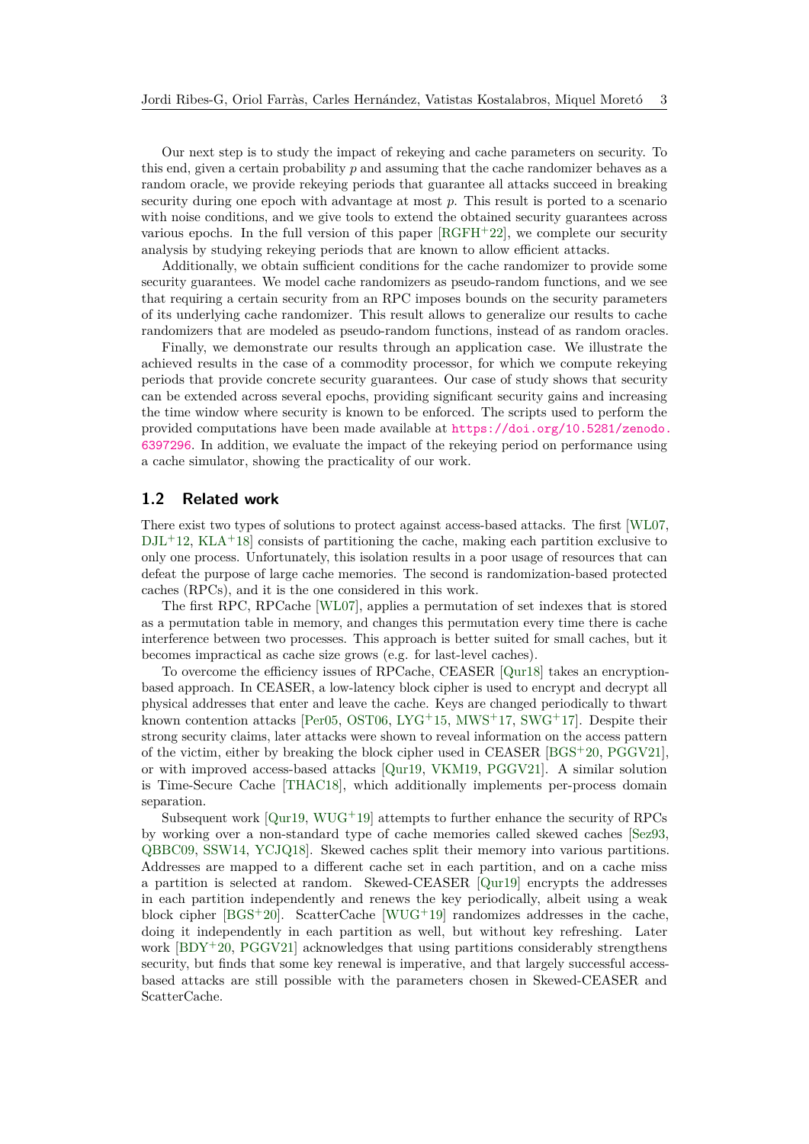Our next step is to study the impact of rekeying and cache parameters on security. To this end, given a certain probability p and assuming that the cache randomizer behaves as a random oracle, we provide rekeying periods that guarantee all attacks succeed in breaking security during one epoch with advantage at most *p*. This result is ported to a scenario with noise conditions, and we give tools to extend the obtained security guarantees across various epochs. In the full version of this paper  $[RGFH^+22]$  $[RGFH^+22]$ , we complete our security analysis by studying rekeying periods that are known to allow efficient attacks.

Additionally, we obtain sufficient conditions for the cache randomizer to provide some security guarantees. We model cache randomizers as pseudo-random functions, and we see that requiring a certain security from an RPC imposes bounds on the security parameters of its underlying cache randomizer. This result allows to generalize our results to cache randomizers that are modeled as pseudo-random functions, instead of as random oracles.

Finally, we demonstrate our results through an application case. We illustrate the achieved results in the case of a commodity processor, for which we compute rekeying periods that provide concrete security guarantees. Our case of study shows that security can be extended across several epochs, providing significant security gains and increasing the time window where security is known to be enforced. The scripts used to perform the provided computations have been made available at [https://doi.org/10.5281/zenodo.](https://doi.org/10.5281/zenodo.6397296) [6397296](https://doi.org/10.5281/zenodo.6397296). In addition, we evaluate the impact of the rekeying period on performance using a cache simulator, showing the practicality of our work.

### **1.2 Related work**

There exist two types of solutions to protect against access-based attacks. The first [\[WL07,](#page-21-5)  $DJ<sub>L</sub>+12$ , [KLA](#page-19-7)<sup>+</sup>18] consists of partitioning the cache, making each partition exclusive to only one process. Unfortunately, this isolation results in a poor usage of resources that can defeat the purpose of large cache memories. The second is randomization-based protected caches (RPCs), and it is the one considered in this work.

The first RPC, RPCache [\[WL07\]](#page-21-5), applies a permutation of set indexes that is stored as a permutation table in memory, and changes this permutation every time there is cache interference between two processes. This approach is better suited for small caches, but it becomes impractical as cache size grows (e.g. for last-level caches).

To overcome the efficiency issues of RPCache, CEASER [\[Qur18\]](#page-20-9) takes an encryptionbased approach. In CEASER, a low-latency block cipher is used to encrypt and decrypt all physical addresses that enter and leave the cache. Keys are changed periodically to thwart known contention attacks [\[Per05,](#page-20-6) [OST06,](#page-20-7) [LYG](#page-20-0)<sup>+</sup>15, [MWS](#page-20-3)<sup>+</sup>17, [SWG](#page-21-2)<sup>+</sup>17]. Despite their strong security claims, later attacks were shown to reveal information on the access pattern of the victim, either by breaking the block cipher used in CEASER [\[BGS](#page-18-6)<sup>+</sup>20, [PGGV21\]](#page-20-10), or with improved access-based attacks [\[Qur19,](#page-21-3) [VKM19,](#page-21-4) [PGGV21\]](#page-20-10). A similar solution is Time-Secure Cache [\[THAC18\]](#page-21-6), which additionally implements per-process domain separation.

Subsequent work  $[Qur19, WUG^+19]$  $[Qur19, WUG^+19]$  $[Qur19, WUG^+19]$  $[Qur19, WUG^+19]$  attempts to further enhance the security of RPCs by working over a non-standard type of cache memories called skewed caches [\[Sez93,](#page-21-8) [QBBC09,](#page-20-11) [SSW14,](#page-21-9) [YCJQ18\]](#page-22-2). Skewed caches split their memory into various partitions. Addresses are mapped to a different cache set in each partition, and on a cache miss a partition is selected at random. Skewed-CEASER [\[Qur19\]](#page-21-3) encrypts the addresses in each partition independently and renews the key periodically, albeit using a weak block cipher  $[BGS^+20]$  $[BGS^+20]$ . ScatterCache  $[WUG^+19]$  $[WUG^+19]$  randomizes addresses in the cache, doing it independently in each partition as well, but without key refreshing. Later work  $[BDY^+20, PGGV21]$  $[BDY^+20, PGGV21]$  $[BDY^+20, PGGV21]$  acknowledges that using partitions considerably strengthens security, but finds that some key renewal is imperative, and that largely successful accessbased attacks are still possible with the parameters chosen in Skewed-CEASER and ScatterCache.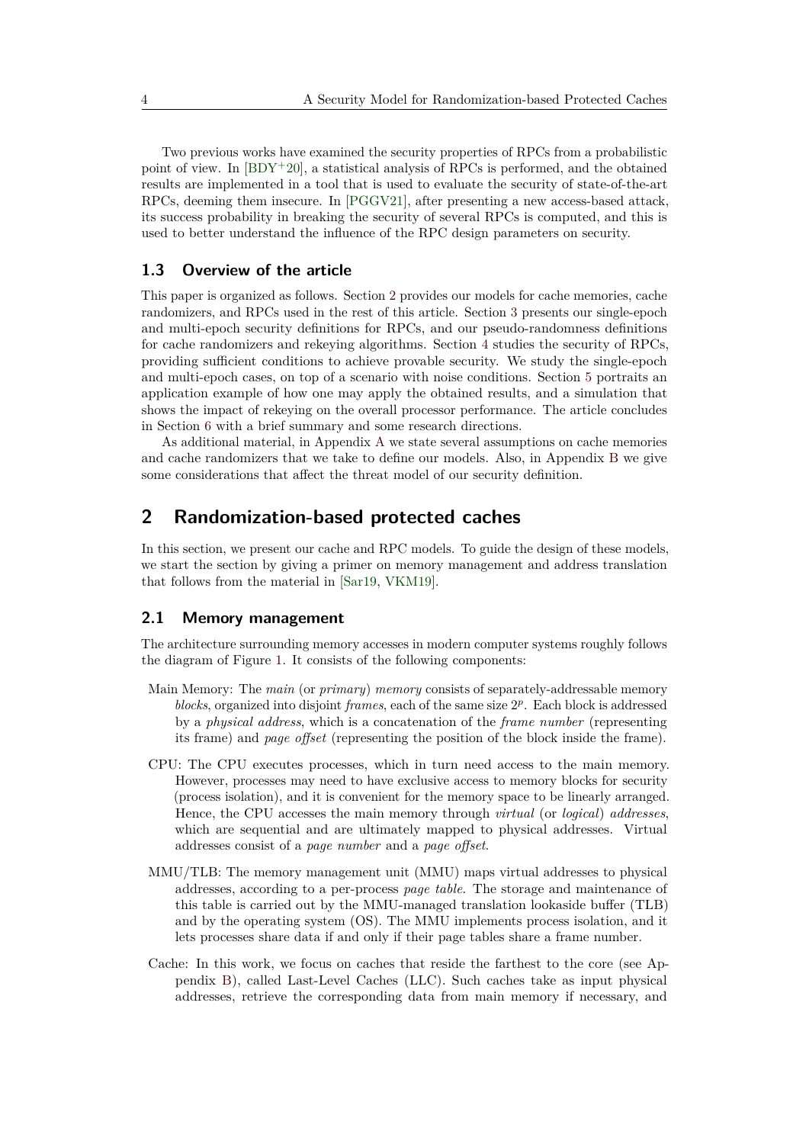Two previous works have examined the security properties of RPCs from a probabilistic point of view. In  $[BDY+20]$  $[BDY+20]$ , a statistical analysis of RPCs is performed, and the obtained results are implemented in a tool that is used to evaluate the security of state-of-the-art RPCs, deeming them insecure. In [\[PGGV21\]](#page-20-10), after presenting a new access-based attack, its success probability in breaking the security of several RPCs is computed, and this is used to better understand the influence of the RPC design parameters on security.

## **1.3 Overview of the article**

This paper is organized as follows. Section [2](#page-3-0) provides our models for cache memories, cache randomizers, and RPCs used in the rest of this article. Section [3](#page-7-0) presents our single-epoch and multi-epoch security definitions for RPCs, and our pseudo-randomness definitions for cache randomizers and rekeying algorithms. Section [4](#page-11-0) studies the security of RPCs, providing sufficient conditions to achieve provable security. We study the single-epoch and multi-epoch cases, on top of a scenario with noise conditions. Section [5](#page-15-0) portraits an application example of how one may apply the obtained results, and a simulation that shows the impact of rekeying on the overall processor performance. The article concludes in Section [6](#page-16-0) with a brief summary and some research directions.

As additional material, in Appendix [A](#page-22-3) we state several assumptions on cache memories and cache randomizers that we take to define our models. Also, in Appendix [B](#page-23-0) we give some considerations that affect the threat model of our security definition.

# <span id="page-3-0"></span>**2 Randomization-based protected caches**

In this section, we present our cache and RPC models. To guide the design of these models, we start the section by giving a primer on memory management and address translation that follows from the material in [\[Sar19,](#page-21-10) [VKM19\]](#page-21-4).

# <span id="page-3-1"></span>**2.1 Memory management**

The architecture surrounding memory accesses in modern computer systems roughly follows the diagram of Figure [1.](#page-4-0) It consists of the following components:

- Main Memory: The *main* (or *primary*) *memory* consists of separately-addressable memory blocks, organized into disjoint *frames*, each of the same size  $2^p$ . Each block is addressed by a *physical address*, which is a concatenation of the *frame number* (representing its frame) and *page offset* (representing the position of the block inside the frame).
- CPU: The CPU executes processes, which in turn need access to the main memory. However, processes may need to have exclusive access to memory blocks for security (process isolation), and it is convenient for the memory space to be linearly arranged. Hence, the CPU accesses the main memory through *virtual* (or *logical*) *addresses*, which are sequential and are ultimately mapped to physical addresses. Virtual addresses consist of a *page number* and a *page offset*.
- MMU/TLB: The memory management unit (MMU) maps virtual addresses to physical addresses, according to a per-process *page table*. The storage and maintenance of this table is carried out by the MMU-managed translation lookaside buffer (TLB) and by the operating system (OS). The MMU implements process isolation, and it lets processes share data if and only if their page tables share a frame number.
- Cache: In this work, we focus on caches that reside the farthest to the core (see Appendix [B\)](#page-23-0), called Last-Level Caches (LLC). Such caches take as input physical addresses, retrieve the corresponding data from main memory if necessary, and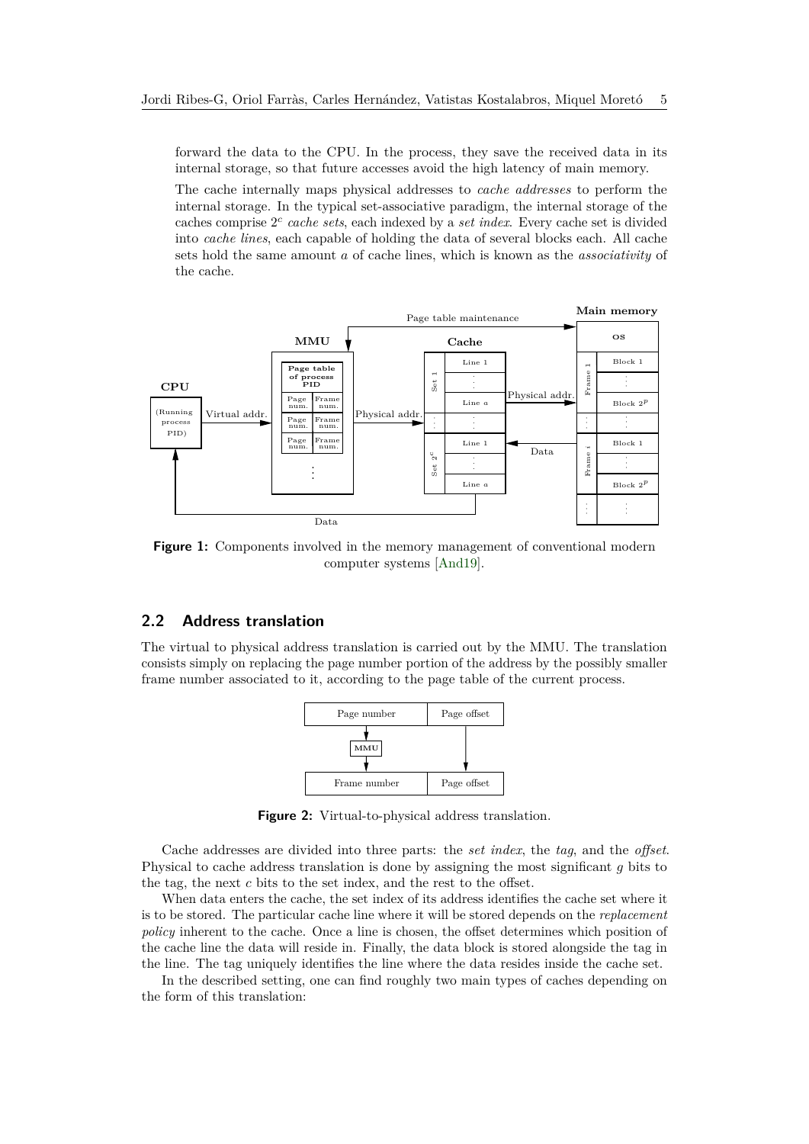forward the data to the CPU. In the process, they save the received data in its internal storage, so that future accesses avoid the high latency of main memory.

The cache internally maps physical addresses to *cache addresses* to perform the internal storage. In the typical set-associative paradigm, the internal storage of the caches comprise 2 *c cache sets*, each indexed by a *set index*. Every cache set is divided into *cache lines*, each capable of holding the data of several blocks each. All cache sets hold the same amount *a* of cache lines, which is known as the *associativity* of the cache.

<span id="page-4-0"></span>

**Figure 1:** Components involved in the memory management of conventional modern computer systems [\[And19\]](#page-17-0).

# **2.2 Address translation**

The virtual to physical address translation is carried out by the MMU. The translation consists simply on replacing the page number portion of the address by the possibly smaller frame number associated to it, according to the page table of the current process.



**Figure 2:** Virtual-to-physical address translation.

Cache addresses are divided into three parts: the *set index*, the *tag*, and the *offset*. Physical to cache address translation is done by assigning the most significant *g* bits to the tag, the next *c* bits to the set index, and the rest to the offset.

When data enters the cache, the set index of its address identifies the cache set where it is to be stored. The particular cache line where it will be stored depends on the *replacement policy* inherent to the cache. Once a line is chosen, the offset determines which position of the cache line the data will reside in. Finally, the data block is stored alongside the tag in the line. The tag uniquely identifies the line where the data resides inside the cache set.

In the described setting, one can find roughly two main types of caches depending on the form of this translation: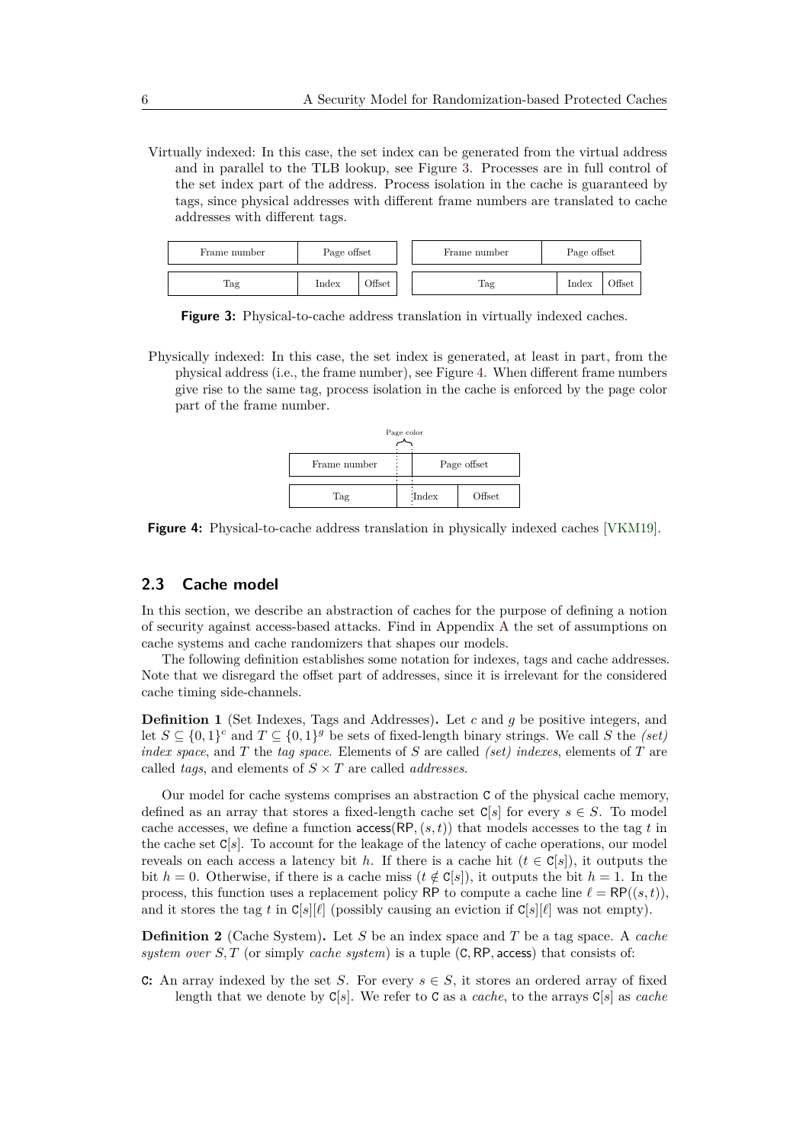Virtually indexed: In this case, the set index can be generated from the virtual address and in parallel to the TLB lookup, see Figure [3.](#page-5-0) Processes are in full control of the set index part of the address. Process isolation in the cache is guaranteed by tags, since physical addresses with different frame numbers are translated to cache addresses with different tags.

<span id="page-5-0"></span>

| Frame number | Page offset |                    | Frame number |  | Page offset |               |
|--------------|-------------|--------------------|--------------|--|-------------|---------------|
| Tag          | Index       | <b>Transferred</b> | Tag          |  | Index       | <b>)ffset</b> |

**Figure 3:** Physical-to-cache address translation in virtually indexed caches.

<span id="page-5-1"></span>Physically indexed: In this case, the set index is generated, at least in part, from the physical address (i.e., the frame number), see Figure [4.](#page-5-1) When different frame numbers give rise to the same tag, process isolation in the cache is enforced by the page color part of the frame number.



**Figure 4:** Physical-to-cache address translation in physically indexed caches [\[VKM19\]](#page-21-4).

### **2.3 Cache model**

In this section, we describe an abstraction of caches for the purpose of defining a notion of security against access-based attacks. Find in Appendix [A](#page-22-3) the set of assumptions on cache systems and cache randomizers that shapes our models.

The following definition establishes some notation for indexes, tags and cache addresses. Note that we disregard the offset part of addresses, since it is irrelevant for the considered cache timing side-channels.

**Definition 1** (Set Indexes, Tags and Addresses)**.** Let *c* and *g* be positive integers, and let  $S \subseteq \{0,1\}^c$  and  $T \subseteq \{0,1\}^g$  be sets of fixed-length binary strings. We call *S* the *(set) index space*, and *T* the *tag space*. Elements of *S* are called *(set) indexes*, elements of *T* are called *tags*, and elements of *S* × *T* are called *addresses*.

Our model for cache systems comprises an abstraction C of the physical cache memory, defined as an array that stores a fixed-length cache set  $\text{C}[s]$  for every  $s \in S$ . To model cache accesses, we define a function  $\arccos(RP, (s, t))$  that models accesses to the tag *t* in the cache set C[*s*]. To account for the leakage of the latency of cache operations, our model reveals on each access a latency bit *h*. If there is a cache hit ( $t \in C[s]$ ), it outputs the bit *h* = 0. Otherwise, if there is a cache miss ( $t \notin C[s]$ ), it outputs the bit *h* = 1. In the process, this function uses a replacement policy RP to compute a cache line  $\ell = \mathsf{RP}((s, t))$ , and it stores the tag t in  $C[s][\ell]$  (possibly causing an eviction if  $C[s][\ell]$  was not empty).

**Definition 2** (Cache System)**.** Let *S* be an index space and *T* be a tag space. A *cache system over S, T* (or simply *cache system*) is a tuple (C*,* RP*,* access) that consists of:

**C**: An array indexed by the set *S*. For every  $s \in S$ , it stores an ordered array of fixed length that we denote by C[*s*]. We refer to C as a *cache*, to the arrays C[*s*] as *cache*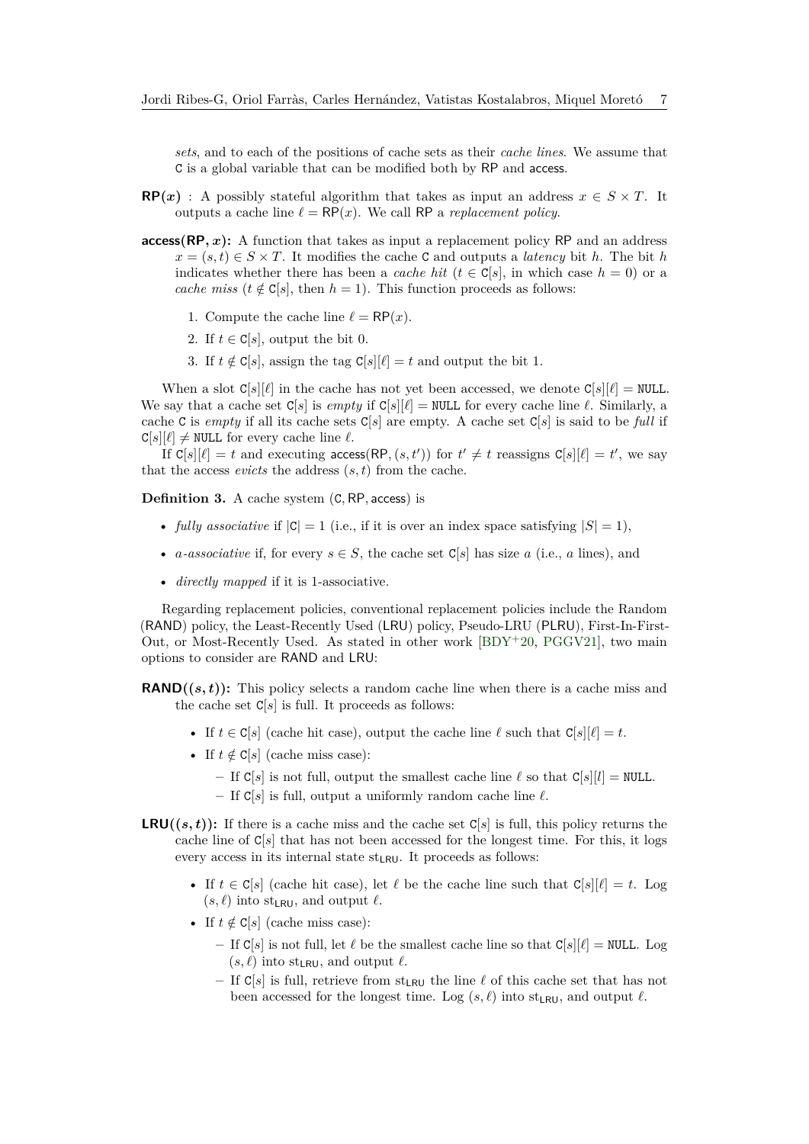*sets*, and to each of the positions of cache sets as their *cache lines*. We assume that C is a global variable that can be modified both by RP and access.

- **RP**(*x*) : A possibly stateful algorithm that takes as input an address  $x \in S \times T$ . It outputs a cache line  $\ell = \mathsf{RP}(x)$ . We call RP a *replacement policy*.
- **access(RP***, x***):** A function that takes as input a replacement policy RP and an address  $x = (s, t) \in S \times T$ . It modifies the cache C and outputs a *latency* bit *h*. The bit *h* indicates whether there has been a *cache hit* ( $t \in \mathbb{C}[s]$ , in which case  $h = 0$ ) or a *cache miss* ( $t \notin C[s]$ , then  $h = 1$ ). This function proceeds as follows:
	- 1. Compute the cache line  $\ell = \mathsf{RP}(x)$ .
	- 2. If  $t \in \mathbb{C}[s]$ , output the bit 0.
	- 3. If  $t \notin C[s]$ , assign the tag  $C[s][\ell] = t$  and output the bit 1.

When a slot  $C[s][\ell]$  in the cache has not yet been accessed, we denote  $C[s][\ell] = \text{NULL}$ . We say that a cache set  $C[s]$  is *empty* if  $C[s][\ell] = \text{NULL}$  for every cache line  $\ell$ . Similarly, a cache C is *empty* if all its cache sets C[*s*] are empty. A cache set C[*s*] is said to be *full* if  $C[s][\ell] \neq \text{NULL}$  for every cache line  $\ell$ .

If  $C[s][\ell] = t$  and executing access(RP,  $(s, t')$ ) for  $t' \neq t$  reassigns  $C[s][\ell] = t'$ , we say that the access *evicts* the address  $(s, t)$  from the cache.

**Definition 3.** A cache system (C*,* RP*,* access) is

- *fully associative* if  $|C| = 1$  (i.e., if it is over an index space satisfying  $|S| = 1$ ),
- *a-associative* if, for every  $s \in S$ , the cache set  $C[s]$  has size *a* (i.e., *a* lines), and
- *directly mapped* if it is 1-associative.

Regarding replacement policies, conventional replacement policies include the Random (RAND) policy, the Least-Recently Used (LRU) policy, Pseudo-LRU (PLRU), First-In-First-Out, or Most-Recently Used. As stated in other work  $[BDY^+20, PGGV21]$  $[BDY^+20, PGGV21]$  $[BDY^+20, PGGV21]$ , two main options to consider are RAND and LRU:

**RAND** $((s,t))$ : This policy selects a random cache line when there is a cache miss and the cache set  $C[s]$  is full. It proceeds as follows:

- If  $t \in \mathbb{C}[s]$  (cache hit case), output the cache line  $\ell$  such that  $\mathbb{C}[s][\ell] = t$ .
- If  $t \notin C[s]$  (cache miss case):
	- $\mathcal{L} = \text{If } C[s]$  is not full, output the smallest cache line  $\ell$  so that  $C[s][l] = \text{NULL}$ .
	- $-$  If  $C[s]$  is full, output a uniformly random cache line  $\ell$ .
- **LRU** $((s, t))$ : If there is a cache miss and the cache set C[s] is full, this policy returns the cache line of  $C[s]$  that has not been accessed for the longest time. For this, it logs every access in its internal state  $st_{LRU}$ . It proceeds as follows:
	- If  $t \in \mathbb{C}[s]$  (cache hit case), let  $\ell$  be the cache line such that  $\mathbb{C}[s][\ell] = t$ . Log  $(s, \ell)$  into st<sub>LRU</sub>, and output  $\ell$ .
	- If  $t \notin \mathbb{C}[s]$  (cache miss case):
		- $-$  If  $C[s]$  is not full, let  $\ell$  be the smallest cache line so that  $C[s][\ell] = \text{NULL}$ . Log  $(s, \ell)$  into st<sub>LRU</sub>, and output  $\ell$ .
		- If  $C[s]$  is full, retrieve from st<sub>LRU</sub> the line  $\ell$  of this cache set that has not been accessed for the longest time. Log  $(s, \ell)$  into st<sub>LRU</sub>, and output  $\ell$ .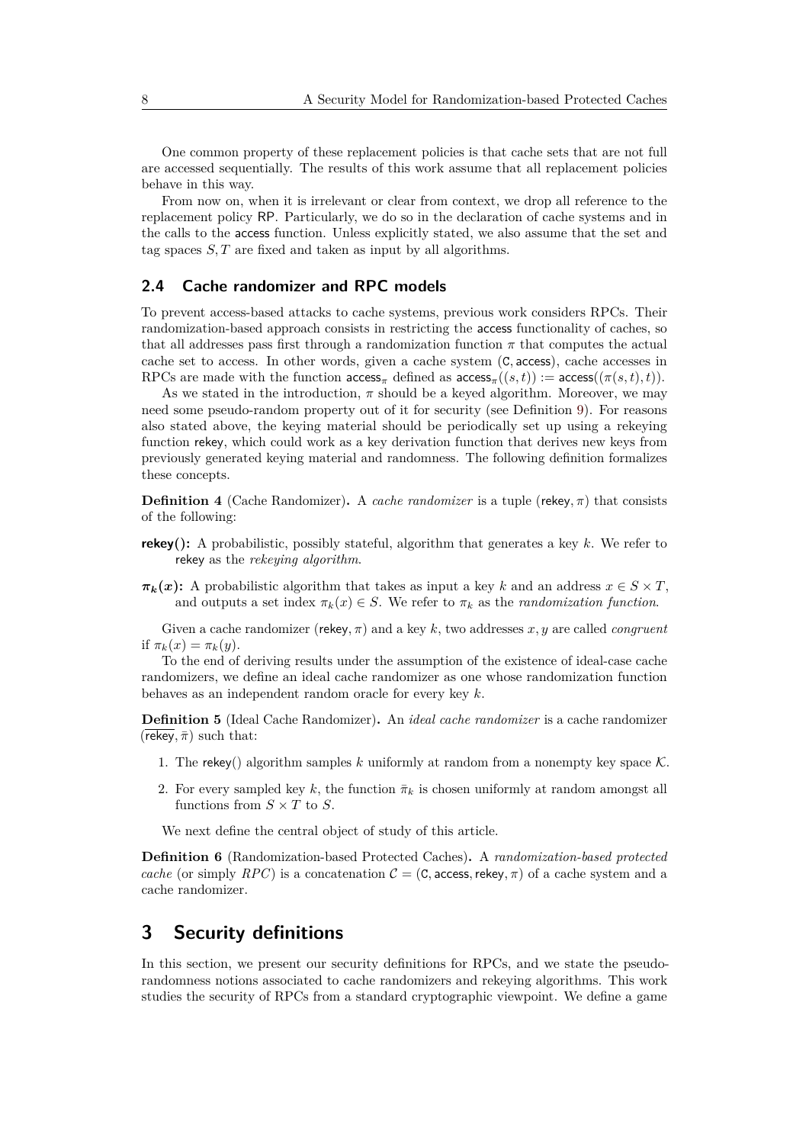One common property of these replacement policies is that cache sets that are not full are accessed sequentially. The results of this work assume that all replacement policies behave in this way.

From now on, when it is irrelevant or clear from context, we drop all reference to the replacement policy RP. Particularly, we do so in the declaration of cache systems and in the calls to the access function. Unless explicitly stated, we also assume that the set and tag spaces *S, T* are fixed and taken as input by all algorithms.

## **2.4 Cache randomizer and RPC models**

To prevent access-based attacks to cache systems, previous work considers RPCs. Their randomization-based approach consists in restricting the access functionality of caches, so that all addresses pass first through a randomization function  $\pi$  that computes the actual cache set to access. In other words, given a cache system (C*,* access), cache accesses in RPCs are made with the function  $\arccos_{\pi}$  defined as  $\arccos_{\pi}((s,t)) := \arccos((\pi(s,t),t))$ .

As we stated in the introduction,  $\pi$  should be a keyed algorithm. Moreover, we may need some pseudo-random property out of it for security (see Definition [9\)](#page-11-1). For reasons also stated above, the keying material should be periodically set up using a rekeying function rekey, which could work as a key derivation function that derives new keys from previously generated keying material and randomness. The following definition formalizes these concepts.

**Definition 4** (Cache Randomizer). A *cache randomizer* is a tuple (rekey,  $\pi$ ) that consists of the following:

- **rekey():** A probabilistic, possibly stateful, algorithm that generates a key *k*. We refer to rekey as the *rekeying algorithm*.
- $\pi_k(x)$ : A probabilistic algorithm that takes as input a key *k* and an address  $x \in S \times T$ , and outputs a set index  $\pi_k(x) \in S$ . We refer to  $\pi_k$  as the *randomization function*.

Given a cache randomizer (rekey*, π*) and a key *k*, two addresses *x, y* are called *congruent* if  $\pi_k(x) = \pi_k(y)$ .

To the end of deriving results under the assumption of the existence of ideal-case cache randomizers, we define an ideal cache randomizer as one whose randomization function behaves as an independent random oracle for every key *k*.

**Definition 5** (Ideal Cache Randomizer)**.** An *ideal cache randomizer* is a cache randomizer  $(\overline{\mathsf{rekey}}, \overline{\pi})$  such that:

- 1. The rekey() algorithm samples k uniformly at random from a nonempty key space  $\mathcal K$ .
- 2. For every sampled key *k*, the function  $\bar{\pi}_k$  is chosen uniformly at random amongst all functions from  $S \times T$  to  $S$ .

We next define the central object of study of this article.

**Definition 6** (Randomization-based Protected Caches)**.** A *randomization-based protected cache* (or simply *RPC*) is a concatenation  $C = (C, \text{access}, \text{rekey}, \pi)$  of a cache system and a cache randomizer.

# <span id="page-7-0"></span>**3 Security definitions**

In this section, we present our security definitions for RPCs, and we state the pseudorandomness notions associated to cache randomizers and rekeying algorithms. This work studies the security of RPCs from a standard cryptographic viewpoint. We define a game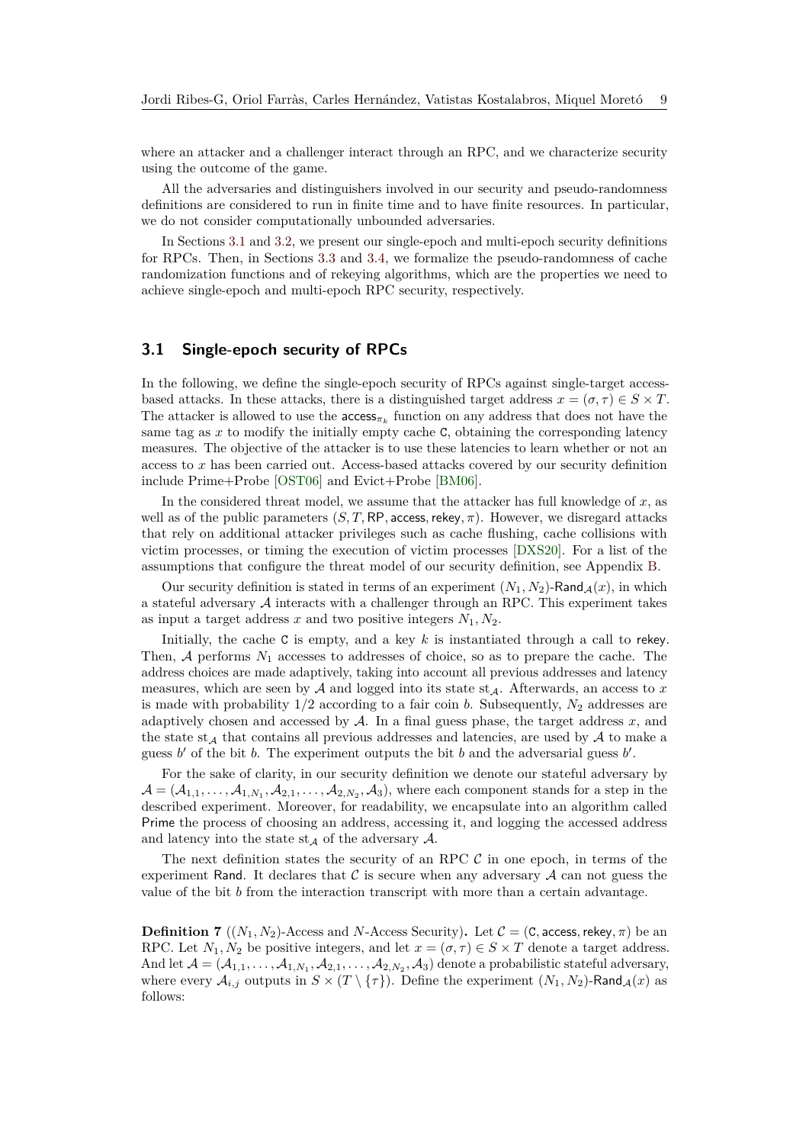where an attacker and a challenger interact through an RPC, and we characterize security using the outcome of the game.

All the adversaries and distinguishers involved in our security and pseudo-randomness definitions are considered to run in finite time and to have finite resources. In particular, we do not consider computationally unbounded adversaries.

In Sections [3.1](#page-8-0) and [3.2,](#page-9-0) we present our single-epoch and multi-epoch security definitions for RPCs. Then, in Sections [3.3](#page-10-0) and [3.4,](#page-11-2) we formalize the pseudo-randomness of cache randomization functions and of rekeying algorithms, which are the properties we need to achieve single-epoch and multi-epoch RPC security, respectively.

## <span id="page-8-0"></span>**3.1 Single-epoch security of RPCs**

In the following, we define the single-epoch security of RPCs against single-target accessbased attacks. In these attacks, there is a distinguished target address  $x = (\sigma, \tau) \in S \times T$ . The attacker is allowed to use the  $\arccos_{\pi_k}$  function on any address that does not have the same tag as x to modify the initially empty cache C, obtaining the corresponding latency measures. The objective of the attacker is to use these latencies to learn whether or not an access to *x* has been carried out. Access-based attacks covered by our security definition include Prime+Probe [\[OST06\]](#page-20-7) and Evict+Probe [\[BM06\]](#page-18-3).

In the considered threat model, we assume that the attacker has full knowledge of *x*, as well as of the public parameters  $(S, T, \mathsf{RP}, \mathsf{access}, \mathsf{rekey}, \pi)$ . However, we disregard attacks that rely on additional attacker privileges such as cache flushing, cache collisions with victim processes, or timing the execution of victim processes [\[DXS20\]](#page-19-5). For a list of the assumptions that configure the threat model of our security definition, see Appendix [B.](#page-23-0)

Our security definition is stated in terms of an experiment  $(N_1, N_2)$ -Rand  $_A(x)$ , in which a stateful adversary  $A$  interacts with a challenger through an RPC. This experiment takes as input a target address *x* and two positive integers  $N_1, N_2$ .

Initially, the cache C is empty, and a key *k* is instantiated through a call to rekey. Then,  $A$  performs  $N_1$  accesses to addresses of choice, so as to prepare the cache. The address choices are made adaptively, taking into account all previous addresses and latency measures, which are seen by  $A$  and logged into its state st $_A$ . Afterwards, an access to  $x$ is made with probability  $1/2$  according to a fair coin *b*. Subsequently,  $N_2$  addresses are adaptively chosen and accessed by  $A$ . In a final guess phase, the target address  $x$ , and the state st<sub>A</sub> that contains all previous addresses and latencies, are used by  $A$  to make a guess  $b'$  of the bit  $b$ . The experiment outputs the bit  $b$  and the adversarial guess  $b'$ .

For the sake of clarity, in our security definition we denote our stateful adversary by  $\mathcal{A} = (\mathcal{A}_{1,1}, \ldots, \mathcal{A}_{1,N_1}, \mathcal{A}_{2,1}, \ldots, \mathcal{A}_{2,N_2}, \mathcal{A}_3)$ , where each component stands for a step in the described experiment. Moreover, for readability, we encapsulate into an algorithm called Prime the process of choosing an address, accessing it, and logging the accessed address and latency into the state  $st_A$  of the adversary  $A$ .

The next definition states the security of an RPC  $\mathcal C$  in one epoch, in terms of the experiment Rand. It declares that  $\mathcal C$  is secure when any adversary  $\mathcal A$  can not guess the value of the bit *b* from the interaction transcript with more than a certain advantage.

<span id="page-8-1"></span>**Definition 7** ( $(N_1, N_2)$ -Access and *N*-Access Security). Let  $\mathcal{C} = (\mathbf{C}, \mathbf{access}, \mathbf{rekey}, \pi)$  be an RPC. Let  $N_1, N_2$  be positive integers, and let  $x = (\sigma, \tau) \in S \times T$  denote a target address. And let  $\mathcal{A} = (\mathcal{A}_{1,1}, \ldots, \mathcal{A}_{1,N_1}, \mathcal{A}_{2,1}, \ldots, \mathcal{A}_{2,N_2}, \mathcal{A}_3)$  denote a probabilistic stateful adversary, where every  $\mathcal{A}_{i,j}$  outputs in  $S \times (T \setminus \{\tau\})$ . Define the experiment  $(N_1, N_2)$ -Rand $\mathcal{A}(x)$  as follows: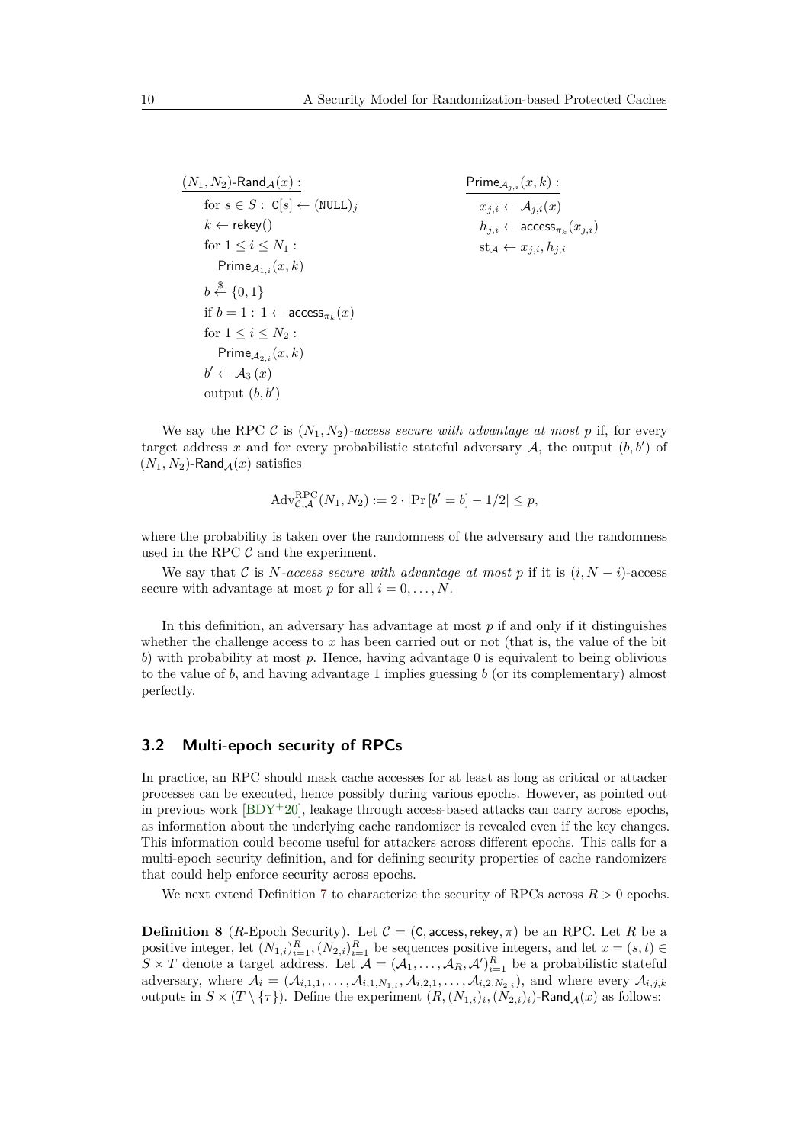$$
\begin{array}{ll}\n\frac{(N_1, N_2)\text{-Rand}_{\mathcal{A}}(x) :}{\text{for } s \in S : \mathbb{C}[s] \leftarrow (\text{NULL})_j} & \text{Prime}_{\mathcal{A}_{j,i}}(x, k) : \\
& k \leftarrow \text{rekey}() & h_{j,i} \leftarrow A_{j,i}(x) \\
& h_{j,i} \leftarrow \text{access}_{\pi_k}(x_j, i) \\
& h_{j,i} \leftarrow \text{access}_{\pi_k}(x_j, i) \\
& \text{Prime}_{\mathcal{A}_{1,i}}(x, k) \\
& b \leftarrow \{0, 1\} \\
& \text{if } b = 1 : 1 \leftarrow \text{access}_{\pi_k}(x) \\
& \text{for } 1 \leq i \leq N_2 : \\
& \text{Prime}_{\mathcal{A}_{2,i}}(x, k) \\
& b' \leftarrow \mathcal{A}_3(x) \\
& \text{output } (b, b')\n\end{array}
$$

We say the RPC C is  $(N_1, N_2)$ *-access secure with advantage at most* p if, for every target address x and for every probabilistic stateful adversary  $A$ , the output  $(b, b')$  of  $(N_1, N_2)$ -Rand $\mathcal{A}(x)$  satisfies

$$
Adv_{C,A}^{\text{RPC}}(N_1, N_2) := 2 \cdot |\Pr[b' = b] - 1/2| \le p,
$$

where the probability is taken over the randomness of the adversary and the randomness used in the RPC  $\mathcal C$  and the experiment.

We say that C is *N*-access secure with advantage at most p if it is  $(i, N - i)$ -access secure with advantage at most  $p$  for all  $i = 0, \ldots, N$ .

In this definition, an adversary has advantage at most *p* if and only if it distinguishes whether the challenge access to x has been carried out or not (that is, the value of the bit *b*) with probability at most *p*. Hence, having advantage 0 is equivalent to being oblivious to the value of *b*, and having advantage 1 implies guessing *b* (or its complementary) almost perfectly.

#### <span id="page-9-0"></span>**3.2 Multi-epoch security of RPCs**

In practice, an RPC should mask cache accesses for at least as long as critical or attacker processes can be executed, hence possibly during various epochs. However, as pointed out in previous work  $[BDY^+20]$  $[BDY^+20]$ , leakage through access-based attacks can carry across epochs, as information about the underlying cache randomizer is revealed even if the key changes. This information could become useful for attackers across different epochs. This calls for a multi-epoch security definition, and for defining security properties of cache randomizers that could help enforce security across epochs.

We next extend Definition [7](#page-8-1) to characterize the security of RPCs across  $R > 0$  epochs.

<span id="page-9-1"></span>**Definition 8** (*R*-Epoch Security). Let  $C = (C, \text{access}, \text{rekey}, \pi)$  be an RPC. Let *R* be a positive integer, let  $(N_{1,i})_{i=1}^R$ ,  $(N_{2,i})_{i=1}^R$  be sequences positive integers, and let  $x = (s, t) \in$  $S \times T$  denote a target address. Let  $\mathcal{A} = (\mathcal{A}_1, \ldots, \mathcal{A}_R, \mathcal{A}')_{i=1}^R$  be a probabilistic stateful adversary, where  $A_i = (A_{i,1,1}, \ldots, A_{i,1,N_{1,i}}, A_{i,2,1}, \ldots, A_{i,2,N_{2,i}})$ , and where every  $A_{i,j,k}$ outputs in  $S \times (T \setminus \{\tau\})$ . Define the experiment  $(R, (N_{1,i})_i, (N_{2,i})_i)$ -Rand $_A(x)$  as follows: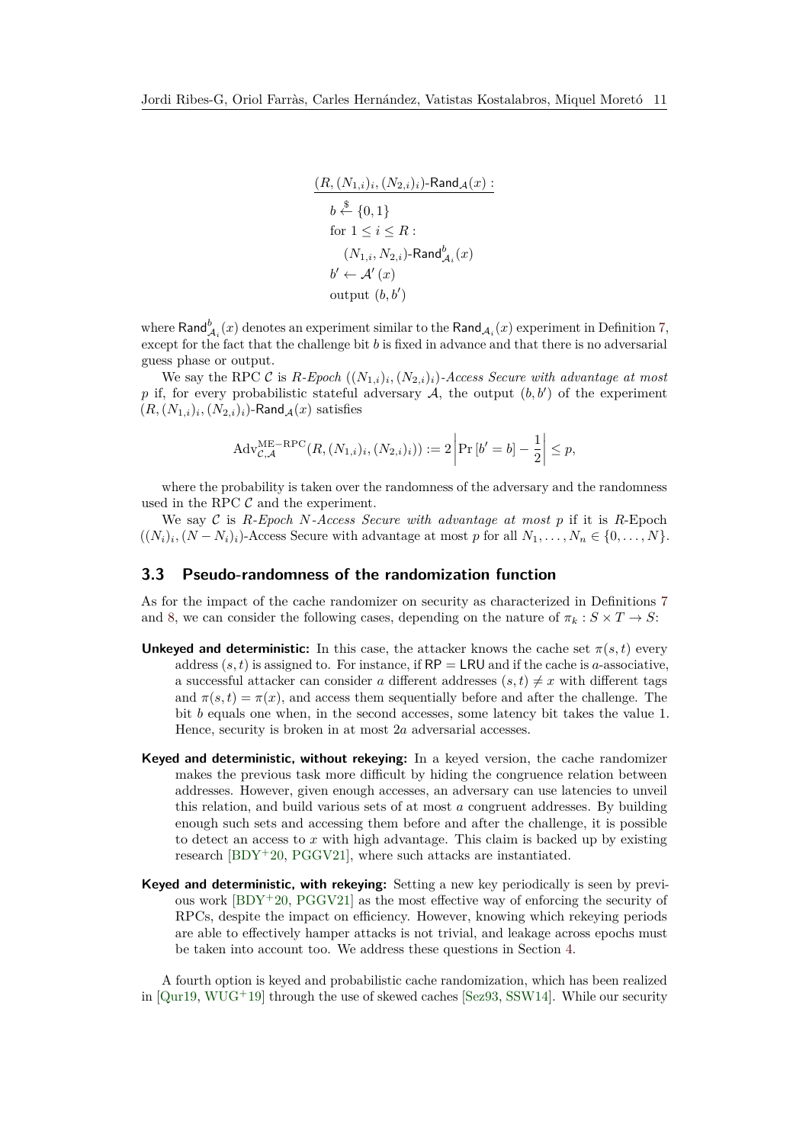$$
\frac{(R,(N_{1,i})_i,(N_{2,i})_i)\text{-Rand}_{\mathcal{A}}(x)}{b \overset{\$}{\leftarrow} \{0,1\}}
$$
\n
$$
\text{for } 1 \le i \le R:
$$
\n
$$
(N_{1,i}, N_{2,i})\text{-Rand}_{\mathcal{A}_i}^b(x)
$$
\n
$$
b' \leftarrow \mathcal{A}'(x)
$$
\n
$$
\text{output } (b, b')
$$

where  $\mathsf{Rand}^b_{\mathcal{A}_i}(x)$  denotes an experiment similar to the  $\mathsf{Rand}_{\mathcal{A}_i}(x)$  experiment in Definition [7,](#page-8-1) except for the fact that the challenge bit *b* is fixed in advance and that there is no adversarial guess phase or output.

We say the RPC  $\mathcal{C}$  is  $R$ -Epoch  $((N_{1,i})_i, (N_{2,i})_i)$ -Access Secure with advantage at most p if, for every probabilistic stateful adversary  $A$ , the output  $(b, b')$  of the experiment  $(R, (N_{1,i})_i, (N_{2,i})_i)$ -Rand $\mathcal{A}(x)$  satisfies

$$
Adv_{C,A}^{ME-RPC}(R, (N_{1,i})_i, (N_{2,i})_i)) := 2 \left| Pr\left[ b'=b \right] - \frac{1}{2} \right| \le p,
$$

where the probability is taken over the randomness of the adversary and the randomness used in the RPC  $\mathcal C$  and the experiment.

We say C is  $R$ -Epoch N-Access Secure with advantage at most p if it is  $R$ -Epoch  $((N_i)_i, (N - N_i)_i)$ -Access Secure with advantage at most *p* for all  $N_1, \ldots, N_n \in \{0, \ldots, N\}$ .

## <span id="page-10-0"></span>**3.3 Pseudo-randomness of the randomization function**

As for the impact of the cache randomizer on security as characterized in Definitions [7](#page-8-1) and [8,](#page-9-1) we can consider the following cases, depending on the nature of  $\pi_k : S \times T \to S$ :

- **Unkeyed and deterministic:** In this case, the attacker knows the cache set  $\pi(s,t)$  every address  $(s, t)$  is assigned to. For instance, if  $RP = \textsf{LRU}$  and if the cache is *a*-associative, a successful attacker can consider *a* different addresses  $(s, t) \neq x$  with different tags and  $\pi(s,t) = \pi(x)$ , and access them sequentially before and after the challenge. The bit *b* equals one when, in the second accesses, some latency bit takes the value 1. Hence, security is broken in at most 2*a* adversarial accesses.
- **Keyed and deterministic, without rekeying:** In a keyed version, the cache randomizer makes the previous task more difficult by hiding the congruence relation between addresses. However, given enough accesses, an adversary can use latencies to unveil this relation, and build various sets of at most *a* congruent addresses. By building enough such sets and accessing them before and after the challenge, it is possible to detect an access to *x* with high advantage. This claim is backed up by existing research  $[BDY^+20, PGGV21]$  $[BDY^+20, PGGV21]$  $[BDY^+20, PGGV21]$ , where such attacks are instantiated.
- **Keyed and deterministic, with rekeying:** Setting a new key periodically is seen by previous work  $[BDY^+20, PGGV21]$  $[BDY^+20, PGGV21]$  $[BDY^+20, PGGV21]$  as the most effective way of enforcing the security of RPCs, despite the impact on efficiency. However, knowing which rekeying periods are able to effectively hamper attacks is not trivial, and leakage across epochs must be taken into account too. We address these questions in Section [4.](#page-11-0)

A fourth option is keyed and probabilistic cache randomization, which has been realized in  $[Qur19, WUG^+19]$  $[Qur19, WUG^+19]$  $[Qur19, WUG^+19]$  $[Qur19, WUG^+19]$  through the use of skewed caches  $[Sez93, SSW14]$  $[Sez93, SSW14]$  $[Sez93, SSW14]$ . While our security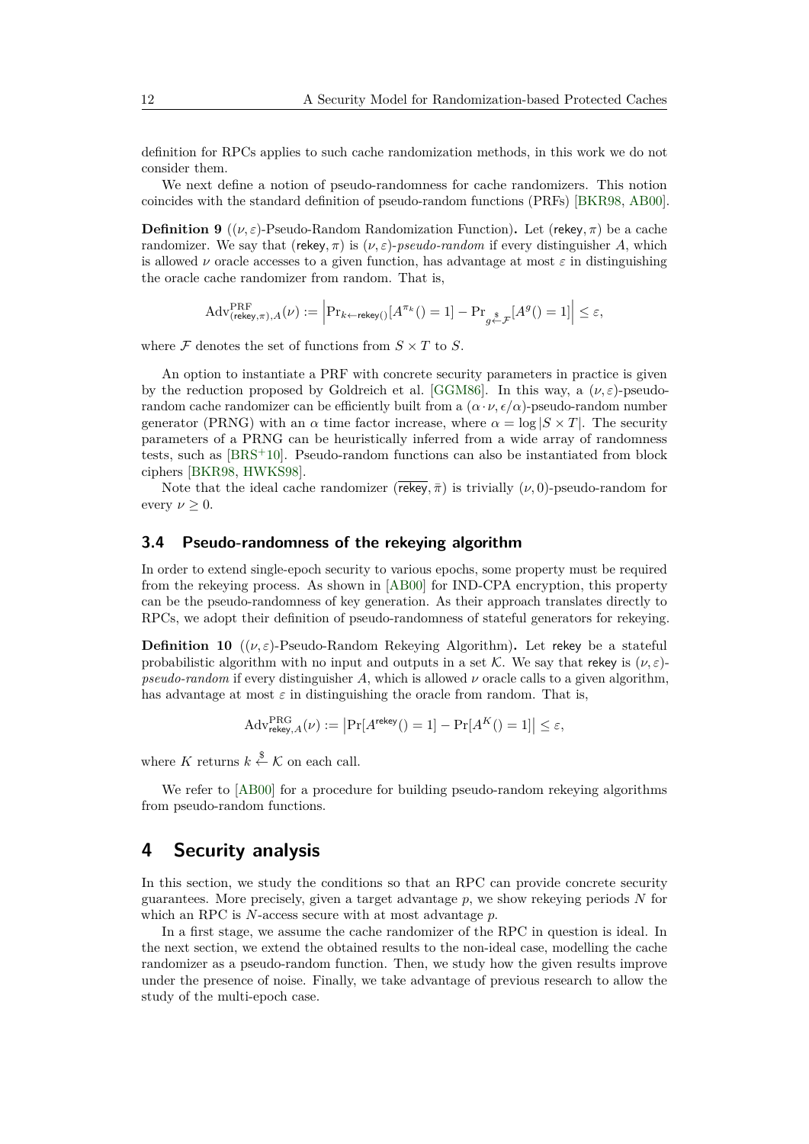definition for RPCs applies to such cache randomization methods, in this work we do not consider them.

We next define a notion of pseudo-randomness for cache randomizers. This notion coincides with the standard definition of pseudo-random functions (PRFs) [\[BKR98,](#page-18-7) [AB00\]](#page-17-1).

<span id="page-11-1"></span>**Definition 9** (( $\nu, \varepsilon$ )-Pseudo-Random Randomization Function). Let (rekey,  $\pi$ ) be a cache randomizer. We say that (rekey,  $\pi$ ) is  $(\nu, \varepsilon)$ -*pseudo-random* if every distinguisher *A*, which is allowed *ν* oracle accesses to a given function, has advantage at most  $\varepsilon$  in distinguishing the oracle cache randomizer from random. That is,

$$
\mathrm{Adv}_{(\mathrm{rekey}, \pi), A}^{\mathrm{PRF}}(\nu) := \Big|\mathrm{Pr}_{k \leftarrow \mathrm{rekey}()}[A^{\pi_k}() = 1] - \mathrm{Pr}_{g \stackrel{\$}{\leftarrow} \mathcal{F}}[A^g() = 1]\Big| \leq \varepsilon,
$$

where  $\mathcal F$  denotes the set of functions from  $S \times T$  to  $S$ .

An option to instantiate a PRF with concrete security parameters in practice is given by the reduction proposed by Goldreich et al. [\[GGM86\]](#page-19-8). In this way, a (*ν, ε*)-pseudorandom cache randomizer can be efficiently built from a  $(\alpha \cdot \nu, \epsilon/\alpha)$ -pseudo-random number generator (PRNG) with an  $\alpha$  time factor increase, where  $\alpha = \log |S \times T|$ . The security parameters of a PRNG can be heuristically inferred from a wide array of randomness tests, such as [\[BRS](#page-18-8)<sup>+</sup>10]. Pseudo-random functions can also be instantiated from block ciphers [\[BKR98,](#page-18-7) [HWKS98\]](#page-19-9).

Note that the ideal cache randomizer ( $\overline{rekey}, \overline{\pi}$ ) is trivially ( $\nu$ , 0)-pseudo-random for every  $\nu \geq 0$ .

## <span id="page-11-2"></span>**3.4 Pseudo-randomness of the rekeying algorithm**

In order to extend single-epoch security to various epochs, some property must be required from the rekeying process. As shown in [\[AB00\]](#page-17-1) for IND-CPA encryption, this property can be the pseudo-randomness of key generation. As their approach translates directly to RPCs, we adopt their definition of pseudo-randomness of stateful generators for rekeying.

**Definition 10** ( $(\nu, \varepsilon)$ -Pseudo-Random Rekeying Algorithm). Let rekey be a stateful probabilistic algorithm with no input and outputs in a set K. We say that rekey is  $(\nu, \varepsilon)$ *pseudo-random* if every distinguisher A, which is allowed  $\nu$  oracle calls to a given algorithm. has advantage at most  $\varepsilon$  in distinguishing the oracle from random. That is,

$$
\mathrm{Adv}_{\mathsf{rekey}, A}^{\mathrm{PRG}}(\nu) := \left| \Pr[A^{\mathsf{rekey}}() = 1] - \Pr[A^K() = 1] \right| \le \varepsilon,
$$

where *K* returns  $k \overset{\$}{\leftarrow} \mathcal{K}$  on each call.

We refer to [\[AB00\]](#page-17-1) for a procedure for building pseudo-random rekeying algorithms from pseudo-random functions.

# <span id="page-11-0"></span>**4 Security analysis**

In this section, we study the conditions so that an RPC can provide concrete security guarantees. More precisely, given a target advantage *p*, we show rekeying periods *N* for which an RPC is *N*-access secure with at most advantage *p*.

In a first stage, we assume the cache randomizer of the RPC in question is ideal. In the next section, we extend the obtained results to the non-ideal case, modelling the cache randomizer as a pseudo-random function. Then, we study how the given results improve under the presence of noise. Finally, we take advantage of previous research to allow the study of the multi-epoch case.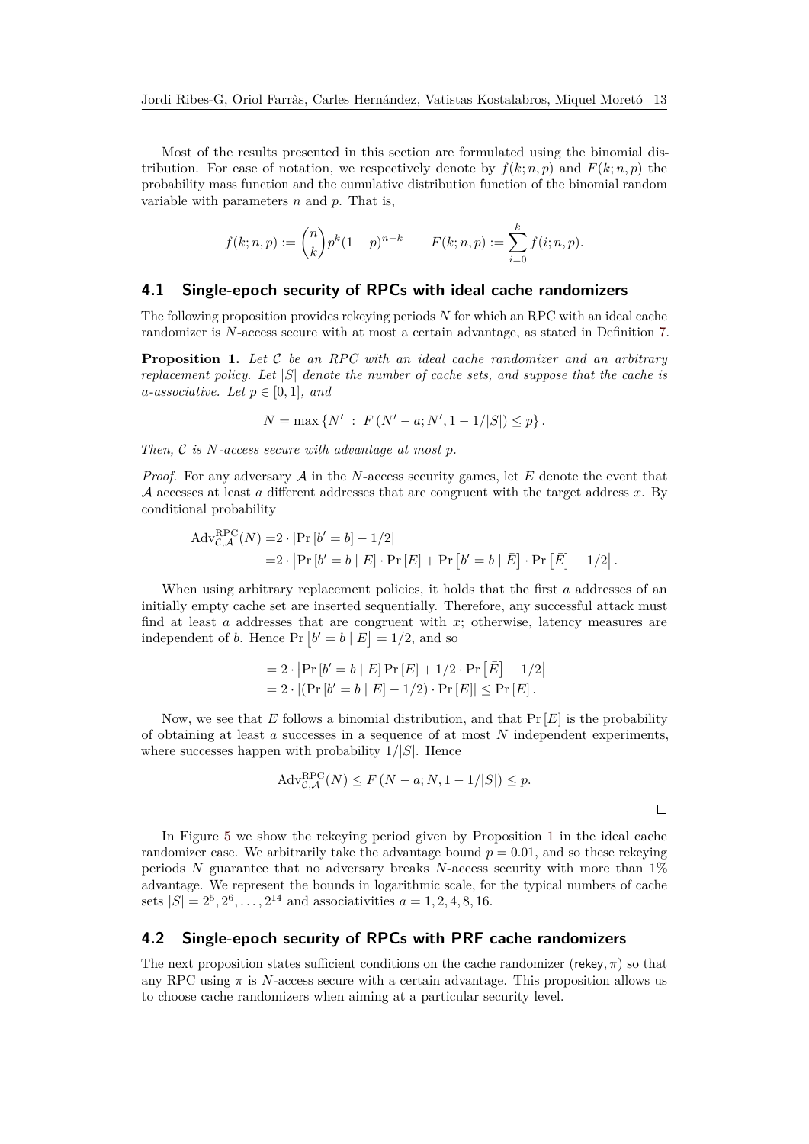Most of the results presented in this section are formulated using the binomial distribution. For ease of notation, we respectively denote by  $f(k; n, p)$  and  $F(k; n, p)$  the probability mass function and the cumulative distribution function of the binomial random variable with parameters *n* and *p*. That is,

$$
f(k; n, p) := {n \choose k} p^{k} (1-p)^{n-k} \qquad F(k; n, p) := \sum_{i=0}^{k} f(i; n, p).
$$

## <span id="page-12-1"></span>**4.1 Single-epoch security of RPCs with ideal cache randomizers**

The following proposition provides rekeying periods *N* for which an RPC with an ideal cache randomizer is *N*-access secure with at most a certain advantage, as stated in Definition [7.](#page-8-1)

<span id="page-12-0"></span>**Proposition 1.** *Let* C *be an RPC with an ideal cache randomizer and an arbitrary replacement policy. Let* |*S*| *denote the number of cache sets, and suppose that the cache is a*-associative. Let  $p \in [0, 1]$ *, and* 

$$
N = \max \{ N' : F(N' - a; N', 1 - 1/|S|) \le p \}.
$$

*Then,* C *is N-access secure with advantage at most p.*

*Proof.* For any adversary A in the *N*-access security games, let *E* denote the event that A accesses at least *a* different addresses that are congruent with the target address *x*. By conditional probability

$$
Adv_{\mathcal{C},\mathcal{A}}^{RPC}(N) = 2 \cdot |Pr[b' = b] - 1/2|
$$
  
= 2 \cdot |Pr[b' = b | E] \cdot Pr[E] + Pr[b' = b | \overline{E}] \cdot Pr[\overline{E}] - 1/2|.

When using arbitrary replacement policies, it holds that the first *a* addresses of an initially empty cache set are inserted sequentially. Therefore, any successful attack must find at least *a* addresses that are congruent with *x*; otherwise, latency measures are independent of *b*. Hence  $\Pr[b' = b \mid \bar{E}] = 1/2$ , and so

$$
= 2 \cdot |\Pr[b' = b | E] \Pr[E] + 1/2 \cdot \Pr[E] - 1/2|
$$
  
= 2 \cdot |(\Pr[b' = b | E] - 1/2) \cdot \Pr[E]| \le \Pr[E].

Now, we see that *E* follows a binomial distribution, and that Pr [*E*] is the probability of obtaining at least *a* successes in a sequence of at most *N* independent experiments, where successes happen with probability 1*/*|*S*|. Hence

$$
Adv_{\mathcal{C},\mathcal{A}}^{\text{RPC}}(N) \le F\left(N - a; N, 1 - 1/|S|\right) \le p.
$$

In Figure [5](#page-13-0) we show the rekeying period given by Proposition [1](#page-12-0) in the ideal cache randomizer case. We arbitrarily take the advantage bound  $p = 0.01$ , and so these rekeying periods *N* guarantee that no adversary breaks *N*-access security with more than 1% advantage. We represent the bounds in logarithmic scale, for the typical numbers of cache sets  $|S| = 2^5, 2^6, \ldots, 2^{14}$  and associativities  $a = 1, 2, 4, 8, 16$ .

## **4.2 Single-epoch security of RPCs with PRF cache randomizers**

The next proposition states sufficient conditions on the cache randomizer (rekey*, π*) so that any RPC using  $\pi$  is *N*-access secure with a certain advantage. This proposition allows us to choose cache randomizers when aiming at a particular security level.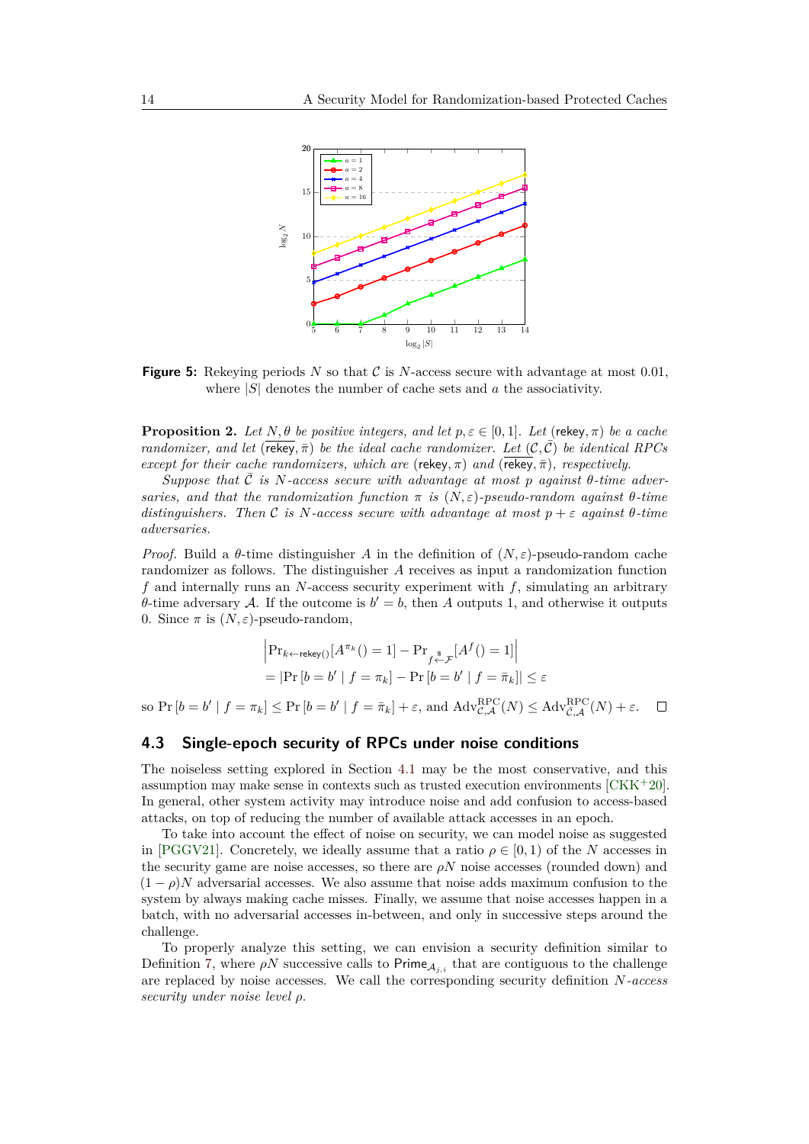<span id="page-13-0"></span>

**Figure 5:** Rekeying periods *N* so that C is *N*-access secure with advantage at most 0*.*01, where |*S*| denotes the number of cache sets and *a* the associativity.

<span id="page-13-1"></span>**Proposition 2.** Let  $N, \theta$  be positive integers, and let  $p, \varepsilon \in [0, 1]$ . Let (rekey,  $\pi$ ) be a cache *randomizer, and let* ( $\overline{\text{rekey}}, \overline{\pi}$ ) *be the ideal cache randomizer. Let*  $(C, \overline{C})$  *be identical RPCs except for their cache randomizers, which are (rekey,*  $\pi$ *) and (rekey,*  $\bar{\pi}$ *), respectively.* 

 $Suppose that C is N-access secure with advantage at most p against  $\theta$ -time adversary$ *saries, and that the randomization function*  $\pi$  *is*  $(N, \varepsilon)$ -pseudo-random against  $\theta$ -time *distinguishers. Then* C *is*  $N$ -access secure with advantage at most  $p + \varepsilon$  against  $\theta$ -time *adversaries.*

*Proof.* Build a  $\theta$ -time distinguisher *A* in the definition of  $(N, \varepsilon)$ -pseudo-random cache randomizer as follows. The distinguisher *A* receives as input a randomization function *f* and internally runs an *N*-access security experiment with *f*, simulating an arbitrary *θ*-time adversary A. If the outcome is  $b' = b$ , then A outputs 1, and otherwise it outputs 0. Since  $\pi$  is  $(N, \varepsilon)$ -pseudo-random,

$$
\left| \Pr_{k \leftarrow \text{rekey}()}[A^{\pi_k}(t) = 1] - \Pr_{f \stackrel{s}{\leftarrow} \mathcal{F}}[A^f(t) = 1] \right|
$$
  
= 
$$
\left| \Pr\left[b = b' \mid f = \pi_k\right] - \Pr\left[b = b' \mid f = \bar{\pi}_k\right] \right| \le \varepsilon
$$

 $\sup_{\mathcal{A}} \text{Pr}[b = b' \mid f = \pi_k] \leq \Pr[b = b' \mid f = \bar{\pi}_k] + \varepsilon$ , and  $\text{Adv}_{\mathcal{C},\mathcal{A}}^{\text{RPC}}(N) \leq \text{Adv}_{\mathcal{C},\mathcal{A}}^{\text{RPC}}(N) + \varepsilon$ .

# **4.3 Single-epoch security of RPCs under noise conditions**

The noiseless setting explored in Section [4.1](#page-12-1) may be the most conservative, and this assumption may make sense in contexts such as trusted execution environments [\[CKK](#page-18-9)<sup>+</sup>20]. In general, other system activity may introduce noise and add confusion to access-based attacks, on top of reducing the number of available attack accesses in an epoch.

To take into account the effect of noise on security, we can model noise as suggested in [\[PGGV21\]](#page-20-10). Concretely, we ideally assume that a ratio  $\rho \in [0,1)$  of the *N* accesses in the security game are noise accesses, so there are  $\rho N$  noise accesses (rounded down) and  $(1 - \rho)N$  adversarial accesses. We also assume that noise adds maximum confusion to the system by always making cache misses. Finally, we assume that noise accesses happen in a batch, with no adversarial accesses in-between, and only in successive steps around the challenge.

To properly analyze this setting, we can envision a security definition similar to Definition [7,](#page-8-1) where  $\rho N$  successive calls to Prime<sub>A<sub>*i,i*</sub> that are contiguous to the challenge</sub> are replaced by noise accesses. We call the corresponding security definition *N-access security under noise level ρ*.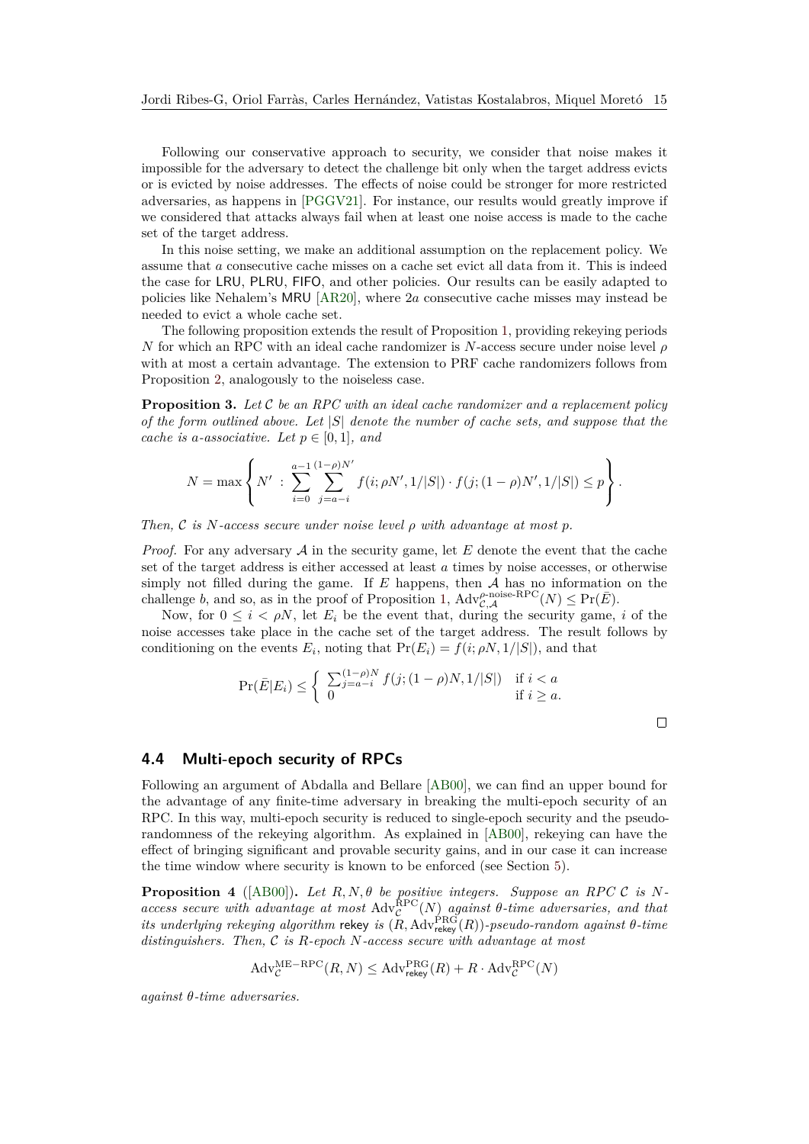Following our conservative approach to security, we consider that noise makes it impossible for the adversary to detect the challenge bit only when the target address evicts or is evicted by noise addresses. The effects of noise could be stronger for more restricted adversaries, as happens in [\[PGGV21\]](#page-20-10). For instance, our results would greatly improve if we considered that attacks always fail when at least one noise access is made to the cache set of the target address.

In this noise setting, we make an additional assumption on the replacement policy. We assume that *a* consecutive cache misses on a cache set evict all data from it. This is indeed the case for LRU, PLRU, FIFO, and other policies. Our results can be easily adapted to policies like Nehalem's MRU [\[AR20\]](#page-18-10), where 2*a* consecutive cache misses may instead be needed to evict a whole cache set.

The following proposition extends the result of Proposition [1,](#page-12-0) providing rekeying periods *N* for which an RPC with an ideal cache randomizer is *N*-access secure under noise level *ρ* with at most a certain advantage. The extension to PRF cache randomizers follows from Proposition [2,](#page-13-1) analogously to the noiseless case.

<span id="page-14-0"></span>**Proposition 3.** *Let* C *be an RPC with an ideal cache randomizer and a replacement policy of the form outlined above. Let* |*S*| *denote the number of cache sets, and suppose that the cache is a-associative. Let*  $p \in [0, 1]$ *, and* 

$$
N = \max \left\{ N' : \sum_{i=0}^{a-1} \sum_{j=a-i}^{(1-\rho)N'} f(i; \rho N', 1/|S|) \cdot f(j; (1-\rho)N', 1/|S|) \le p \right\}.
$$

*Then,* C *is N-access secure under noise level ρ with advantage at most p.*

*Proof.* For any adversary A in the security game, let E denote the event that the cache set of the target address is either accessed at least *a* times by noise accesses, or otherwise simply not filled during the game. If *E* happens, then A has no information on the challenge *b*, and so, as in the proof of Proposition [1,](#page-12-0)  $\text{Adv}_{\mathcal{C},\mathcal{A}}^{\rho\text{-noise-RPC}}(N) \leq \Pr(E)$ .

Now, for  $0 \leq i < \rho N$ , let  $E_i$  be the event that, during the security game, *i* of the noise accesses take place in the cache set of the target address. The result follows by conditioning on the events  $E_i$ , noting that  $Pr(E_i) = f(i; \rho N, 1/|S|)$ , and that

$$
\Pr(\bar{E}|E_i) \leq \begin{cases} \sum_{j=a-i}^{(1-\rho)N} f(j; (1-\rho)N, 1/|S|) & \text{if } i < a\\ 0 & \text{if } i \geq a. \end{cases}
$$

#### **4.4 Multi-epoch security of RPCs**

Following an argument of Abdalla and Bellare [\[AB00\]](#page-17-1), we can find an upper bound for the advantage of any finite-time adversary in breaking the multi-epoch security of an RPC. In this way, multi-epoch security is reduced to single-epoch security and the pseudorandomness of the rekeying algorithm. As explained in [\[AB00\]](#page-17-1), rekeying can have the effect of bringing significant and provable security gains, and in our case it can increase the time window where security is known to be enforced (see Section [5\)](#page-15-0).

<span id="page-14-1"></span>**Proposition 4** ([\[AB00\]](#page-17-1)). Let  $R, N, \theta$  be positive integers. Suppose an RPC C is N $access$  secure with advantage at most  $Adv_{\mathcal{C}}^{\text{RPC}}(N)$  against  $\theta$ -time adversaries, and that *its underlying rekeying algorithm* rekey *is*  $(R, \text{Adv}_{\text{rekey}}^{\text{PRG}}(R))$ -pseudo-random against  $\theta$ -time *distinguishers. Then,* C *is R-epoch N-access secure with advantage at most*

$$
\mathrm{Adv}_{\mathcal{C}}^{\mathrm{ME-RPC}}(R,N) \leq \mathrm{Adv}_{\mathrm{rekey}}^{\mathrm{PRG}}(R) + R \cdot \mathrm{Adv}_{\mathcal{C}}^{\mathrm{RPC}}(N)
$$

*against θ-time adversaries.*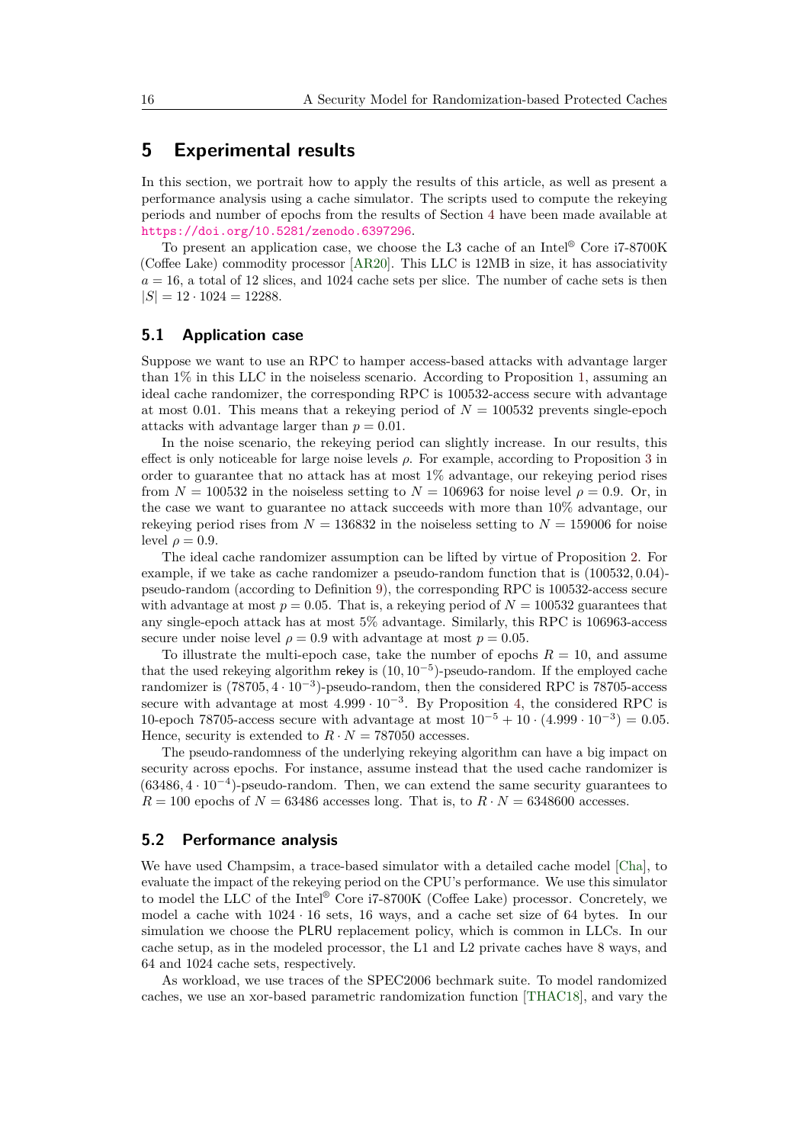# <span id="page-15-0"></span>**5 Experimental results**

In this section, we portrait how to apply the results of this article, as well as present a performance analysis using a cache simulator. The scripts used to compute the rekeying periods and number of epochs from the results of Section [4](#page-11-0) have been made available at <https://doi.org/10.5281/zenodo.6397296>.

To present an application case, we choose the L3 cache of an Intel® Core i7-8700K (Coffee Lake) commodity processor [\[AR20\]](#page-18-10). This LLC is 12MB in size, it has associativity  $a = 16$ , a total of 12 slices, and 1024 cache sets per slice. The number of cache sets is then  $|S| = 12 \cdot 1024 = 12288.$ 

### **5.1 Application case**

Suppose we want to use an RPC to hamper access-based attacks with advantage larger than 1% in this LLC in the noiseless scenario. According to Proposition [1,](#page-12-0) assuming an ideal cache randomizer, the corresponding RPC is 100532-access secure with advantage at most 0.01. This means that a rekeying period of  $N = 100532$  prevents single-epoch attacks with advantage larger than  $p = 0.01$ .

In the noise scenario, the rekeying period can slightly increase. In our results, this effect is only noticeable for large noise levels *ρ*. For example, according to Proposition [3](#page-14-0) in order to guarantee that no attack has at most 1% advantage, our rekeying period rises from  $N = 100532$  in the noiseless setting to  $N = 106963$  for noise level  $\rho = 0.9$ . Or, in the case we want to guarantee no attack succeeds with more than 10% advantage, our rekeying period rises from  $N = 136832$  in the noiseless setting to  $N = 159006$  for noise level  $\rho = 0.9$ .

The ideal cache randomizer assumption can be lifted by virtue of Proposition [2.](#page-13-1) For example, if we take as cache randomizer a pseudo-random function that is (100532*,* 0*.*04) pseudo-random (according to Definition [9\)](#page-11-1), the corresponding RPC is 100532-access secure with advantage at most  $p = 0.05$ . That is, a rekeying period of  $N = 100532$  guarantees that any single-epoch attack has at most 5% advantage. Similarly, this RPC is 106963-access secure under noise level  $\rho = 0.9$  with advantage at most  $p = 0.05$ .

To illustrate the multi-epoch case, take the number of epochs  $R = 10$ , and assume that the used rekeying algorithm rekey is (10*,* 10−<sup>5</sup> )-pseudo-random. If the employed cache randomizer is (78705*,* 4 · 10<sup>−</sup><sup>3</sup> )-pseudo-random, then the considered RPC is 78705-access secure with advantage at most  $4.999 \cdot 10^{-3}$ . By Proposition [4,](#page-14-1) the considered RPC is 10-epoch 78705-access secure with advantage at most  $10^{-5} + 10 \cdot (4.999 \cdot 10^{-3}) = 0.05$ . Hence, security is extended to  $R \cdot N = 787050$  accesses.

The pseudo-randomness of the underlying rekeying algorithm can have a big impact on security across epochs. For instance, assume instead that the used cache randomizer is (63486*,* 4 · 10<sup>−</sup><sup>4</sup> )-pseudo-random. Then, we can extend the same security guarantees to  $R = 100$  epochs of  $N = 63486$  accesses long. That is, to  $R \cdot N = 6348600$  accesses.

### **5.2 Performance analysis**

We have used Champsim, a trace-based simulator with a detailed cache model [\[Cha\]](#page-18-11), to evaluate the impact of the rekeying period on the CPU's performance. We use this simulator to model the LLC of the Intel® Core i7-8700K (Coffee Lake) processor. Concretely, we model a cache with  $1024 \cdot 16$  sets, 16 ways, and a cache set size of 64 bytes. In our simulation we choose the PLRU replacement policy, which is common in LLCs. In our cache setup, as in the modeled processor, the L1 and L2 private caches have 8 ways, and 64 and 1024 cache sets, respectively.

As workload, we use traces of the SPEC2006 bechmark suite. To model randomized caches, we use an xor-based parametric randomization function [\[THAC18\]](#page-21-6), and vary the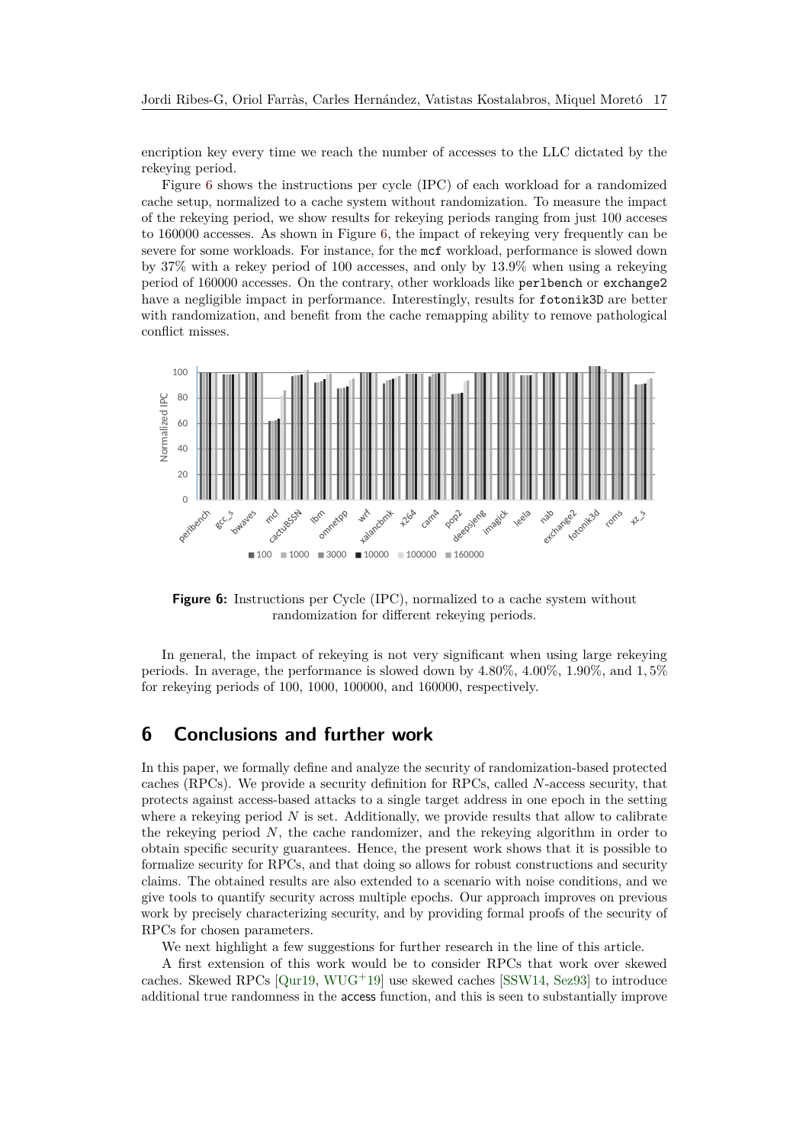encription key every time we reach the number of accesses to the LLC dictated by the rekeying period.

Figure [6](#page-16-1) shows the instructions per cycle (IPC) of each workload for a randomized cache setup, normalized to a cache system without randomization. To measure the impact of the rekeying period, we show results for rekeying periods ranging from just 100 acceses to 160000 accesses. As shown in Figure [6,](#page-16-1) the impact of rekeying very frequently can be severe for some workloads. For instance, for the mcf workload, performance is slowed down by 37% with a rekey period of 100 accesses, and only by 13*.*9% when using a rekeying period of 160000 accesses. On the contrary, other workloads like perlbench or exchange2 have a negligible impact in performance. Interestingly, results for fotonik3D are better with randomization, and benefit from the cache remapping ability to remove pathological conflict misses.

<span id="page-16-1"></span>

**Figure 6:** Instructions per Cycle (IPC), normalized to a cache system without randomization for different rekeying periods.

In general, the impact of rekeying is not very significant when using large rekeying periods. In average, the performance is slowed down by 4*.*80%, 4*.*00%, 1*.*90%, and 1*,* 5% for rekeying periods of 100, 1000, 100000, and 160000, respectively.

# <span id="page-16-0"></span>**6 Conclusions and further work**

In this paper, we formally define and analyze the security of randomization-based protected caches (RPCs). We provide a security definition for RPCs, called *N*-access security, that protects against access-based attacks to a single target address in one epoch in the setting where a rekeying period  $N$  is set. Additionally, we provide results that allow to calibrate the rekeying period *N*, the cache randomizer, and the rekeying algorithm in order to obtain specific security guarantees. Hence, the present work shows that it is possible to formalize security for RPCs, and that doing so allows for robust constructions and security claims. The obtained results are also extended to a scenario with noise conditions, and we give tools to quantify security across multiple epochs. Our approach improves on previous work by precisely characterizing security, and by providing formal proofs of the security of RPCs for chosen parameters.

We next highlight a few suggestions for further research in the line of this article.

A first extension of this work would be to consider RPCs that work over skewed caches. Skewed RPCs [\[Qur19,](#page-21-3) [WUG](#page-22-1)<sup>+</sup>19] use skewed caches [\[SSW14,](#page-21-9) [Sez93\]](#page-21-8) to introduce additional true randomness in the access function, and this is seen to substantially improve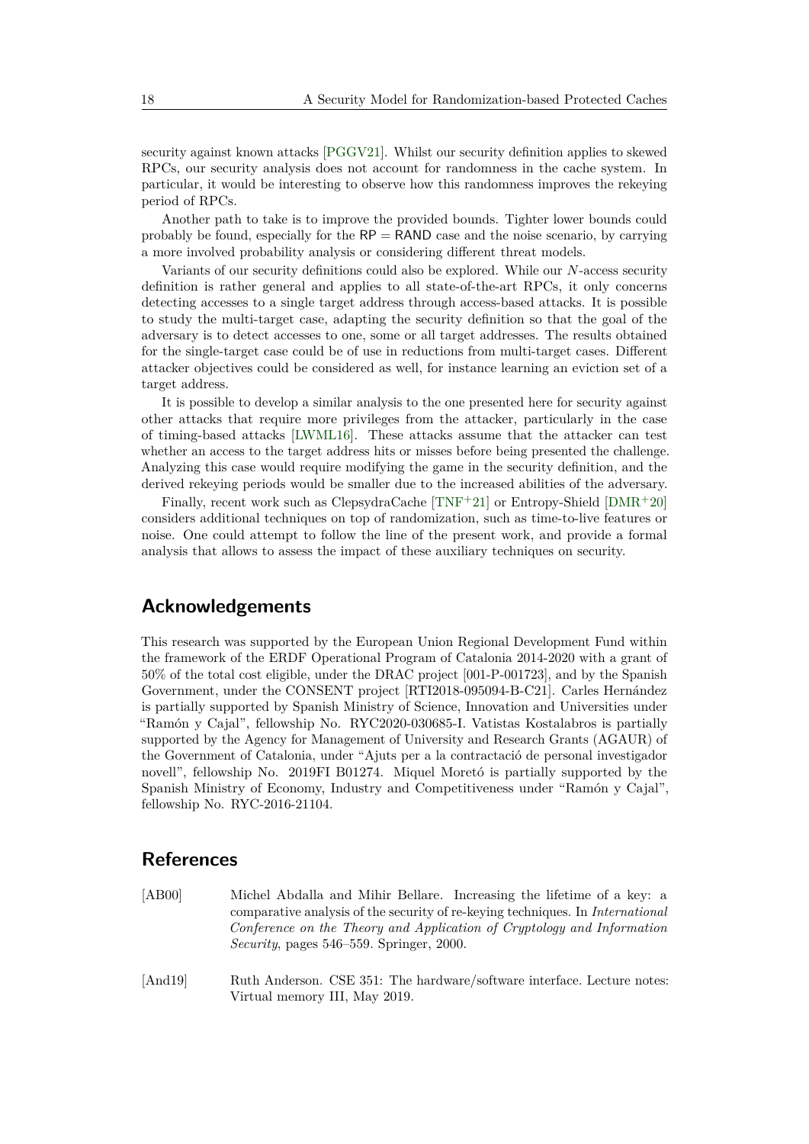security against known attacks [\[PGGV21\]](#page-20-10). Whilst our security definition applies to skewed RPCs, our security analysis does not account for randomness in the cache system. In particular, it would be interesting to observe how this randomness improves the rekeying period of RPCs.

Another path to take is to improve the provided bounds. Tighter lower bounds could probably be found, especially for the  $RP =$  RAND case and the noise scenario, by carrying a more involved probability analysis or considering different threat models.

Variants of our security definitions could also be explored. While our *N*-access security definition is rather general and applies to all state-of-the-art RPCs, it only concerns detecting accesses to a single target address through access-based attacks. It is possible to study the multi-target case, adapting the security definition so that the goal of the adversary is to detect accesses to one, some or all target addresses. The results obtained for the single-target case could be of use in reductions from multi-target cases. Different attacker objectives could be considered as well, for instance learning an eviction set of a target address.

It is possible to develop a similar analysis to the one presented here for security against other attacks that require more privileges from the attacker, particularly in the case of timing-based attacks [\[LWML16\]](#page-20-5). These attacks assume that the attacker can test whether an access to the target address hits or misses before being presented the challenge. Analyzing this case would require modifying the game in the security definition, and the derived rekeying periods would be smaller due to the increased abilities of the adversary.

Finally, recent work such as ClepsydraCache  $[TNF^+21]$  $[TNF^+21]$  or Entropy-Shield  $[DMR^+20]$  $[DMR^+20]$ considers additional techniques on top of randomization, such as time-to-live features or noise. One could attempt to follow the line of the present work, and provide a formal analysis that allows to assess the impact of these auxiliary techniques on security.

# **Acknowledgements**

This research was supported by the European Union Regional Development Fund within the framework of the ERDF Operational Program of Catalonia 2014-2020 with a grant of 50% of the total cost eligible, under the DRAC project [001-P-001723], and by the Spanish Government, under the CONSENT project [RTI2018-095094-B-C21]. Carles Hernández is partially supported by Spanish Ministry of Science, Innovation and Universities under "Ramón y Cajal", fellowship No. RYC2020-030685-I. Vatistas Kostalabros is partially supported by the Agency for Management of University and Research Grants (AGAUR) of the Government of Catalonia, under "Ajuts per a la contractació de personal investigador novell", fellowship No. 2019FI B01274. Miquel Moretó is partially supported by the Spanish Ministry of Economy, Industry and Competitiveness under "Ramón y Cajal", fellowship No. RYC-2016-21104.

# **References**

- <span id="page-17-1"></span>[AB00] Michel Abdalla and Mihir Bellare. Increasing the lifetime of a key: a comparative analysis of the security of re-keying techniques. In *International Conference on the Theory and Application of Cryptology and Information Security*, pages 546–559. Springer, 2000.
- <span id="page-17-0"></span>[And19] Ruth Anderson. CSE 351: The hardware/software interface. Lecture notes: Virtual memory III, May 2019.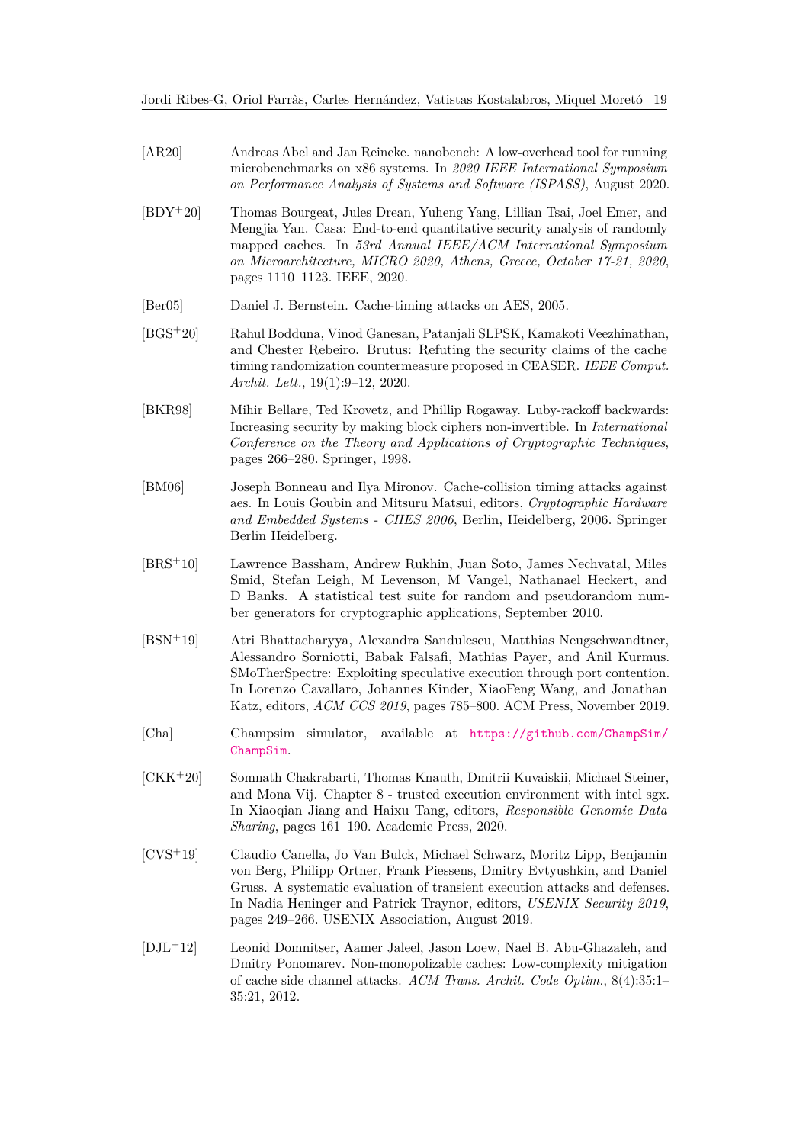- <span id="page-18-10"></span>[AR20] Andreas Abel and Jan Reineke. nanobench: A low-overhead tool for running microbenchmarks on x86 systems. In *2020 IEEE International Symposium on Performance Analysis of Systems and Software (ISPASS)*, August 2020.
- <span id="page-18-4"></span>[BDY+20] Thomas Bourgeat, Jules Drean, Yuheng Yang, Lillian Tsai, Joel Emer, and Mengjia Yan. Casa: End-to-end quantitative security analysis of randomly mapped caches. In *53rd Annual IEEE/ACM International Symposium on Microarchitecture, MICRO 2020, Athens, Greece, October 17-21, 2020*, pages 1110–1123. IEEE, 2020.
- <span id="page-18-2"></span>[Ber05] Daniel J. Bernstein. Cache-timing attacks on AES, 2005.
- <span id="page-18-6"></span>[BGS+20] Rahul Bodduna, Vinod Ganesan, Patanjali SLPSK, Kamakoti Veezhinathan, and Chester Rebeiro. Brutus: Refuting the security claims of the cache timing randomization countermeasure proposed in CEASER. *IEEE Comput. Archit. Lett.*, 19(1):9–12, 2020.
- <span id="page-18-7"></span>[BKR98] Mihir Bellare, Ted Krovetz, and Phillip Rogaway. Luby-rackoff backwards: Increasing security by making block ciphers non-invertible. In *International Conference on the Theory and Applications of Cryptographic Techniques*, pages 266–280. Springer, 1998.
- <span id="page-18-3"></span>[BM06] Joseph Bonneau and Ilya Mironov. Cache-collision timing attacks against aes. In Louis Goubin and Mitsuru Matsui, editors, *Cryptographic Hardware and Embedded Systems - CHES 2006*, Berlin, Heidelberg, 2006. Springer Berlin Heidelberg.
- <span id="page-18-8"></span>[BRS<sup>+</sup>10] Lawrence Bassham, Andrew Rukhin, Juan Soto, James Nechvatal, Miles Smid, Stefan Leigh, M Levenson, M Vangel, Nathanael Heckert, and D Banks. A statistical test suite for random and pseudorandom number generators for cryptographic applications, September 2010.
- <span id="page-18-0"></span>[BSN<sup>+</sup>19] Atri Bhattacharyya, Alexandra Sandulescu, Matthias Neugschwandtner, Alessandro Sorniotti, Babak Falsafi, Mathias Payer, and Anil Kurmus. SMoTherSpectre: Exploiting speculative execution through port contention. In Lorenzo Cavallaro, Johannes Kinder, XiaoFeng Wang, and Jonathan Katz, editors, *ACM CCS 2019*, pages 785–800. ACM Press, November 2019.
- <span id="page-18-11"></span>[Cha] Champsim simulator, available at [https://github.com/ChampSim/](https://github.com/ChampSim/ChampSim) [ChampSim](https://github.com/ChampSim/ChampSim).
- <span id="page-18-9"></span>[CKK<sup>+</sup>20] Somnath Chakrabarti, Thomas Knauth, Dmitrii Kuvaiskii, Michael Steiner, and Mona Vij. Chapter 8 - trusted execution environment with intel sgx. In Xiaoqian Jiang and Haixu Tang, editors, *Responsible Genomic Data Sharing*, pages 161–190. Academic Press, 2020.
- <span id="page-18-1"></span>[CVS<sup>+</sup>19] Claudio Canella, Jo Van Bulck, Michael Schwarz, Moritz Lipp, Benjamin von Berg, Philipp Ortner, Frank Piessens, Dmitry Evtyushkin, and Daniel Gruss. A systematic evaluation of transient execution attacks and defenses. In Nadia Heninger and Patrick Traynor, editors, *USENIX Security 2019*, pages 249–266. USENIX Association, August 2019.
- <span id="page-18-5"></span>[DJL<sup>+</sup>12] Leonid Domnitser, Aamer Jaleel, Jason Loew, Nael B. Abu-Ghazaleh, and Dmitry Ponomarev. Non-monopolizable caches: Low-complexity mitigation of cache side channel attacks. *ACM Trans. Archit. Code Optim.*, 8(4):35:1– 35:21, 2012.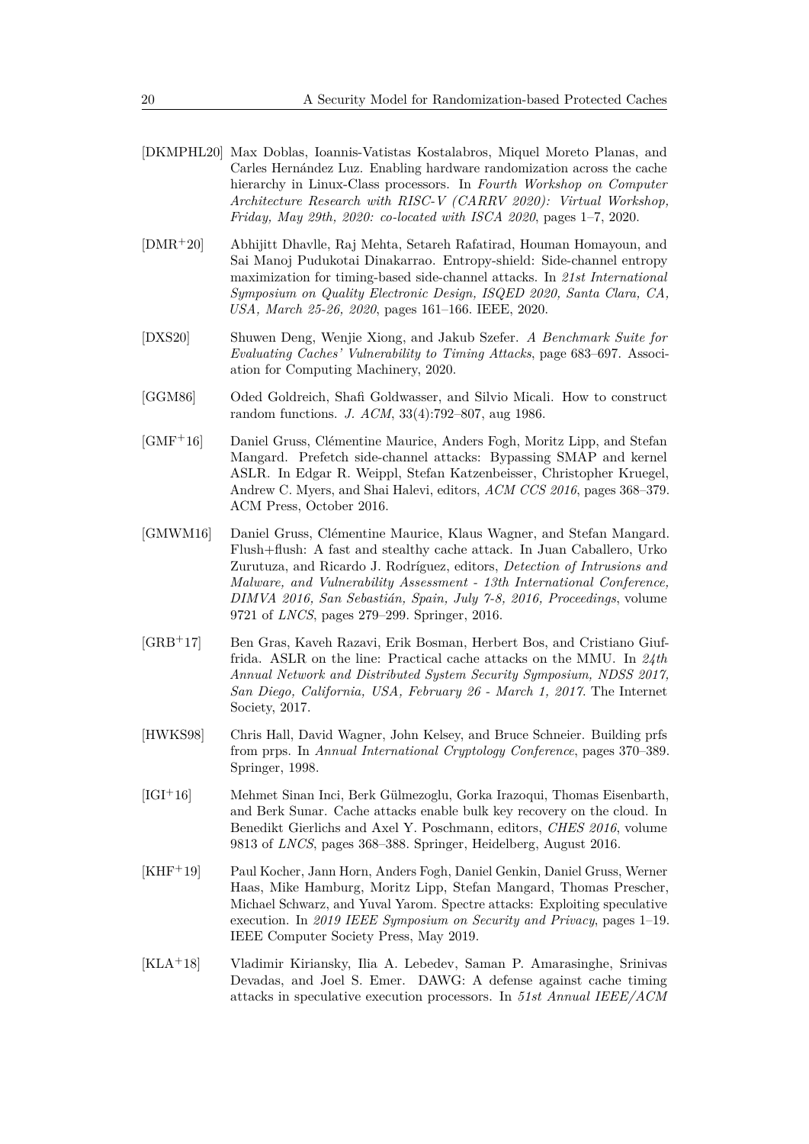- <span id="page-19-6"></span>[DKMPHL20] Max Doblas, Ioannis-Vatistas Kostalabros, Miquel Moreto Planas, and Carles Hernández Luz. Enabling hardware randomization across the cache hierarchy in Linux-Class processors. In *Fourth Workshop on Computer Architecture Research with RISC-V (CARRV 2020): Virtual Workshop, Friday, May 29th, 2020: co-located with ISCA 2020*, pages 1–7, 2020.
- <span id="page-19-10"></span>[DMR+20] Abhijitt Dhavlle, Raj Mehta, Setareh Rafatirad, Houman Homayoun, and Sai Manoj Pudukotai Dinakarrao. Entropy-shield: Side-channel entropy maximization for timing-based side-channel attacks. In *21st International Symposium on Quality Electronic Design, ISQED 2020, Santa Clara, CA, USA, March 25-26, 2020*, pages 161–166. IEEE, 2020.
- <span id="page-19-5"></span>[DXS20] Shuwen Deng, Wenjie Xiong, and Jakub Szefer. *A Benchmark Suite for Evaluating Caches' Vulnerability to Timing Attacks*, page 683–697. Association for Computing Machinery, 2020.
- <span id="page-19-8"></span>[GGM86] Oded Goldreich, Shafi Goldwasser, and Silvio Micali. How to construct random functions. *J. ACM*, 33(4):792–807, aug 1986.
- <span id="page-19-1"></span>[GMF+16] Daniel Gruss, Clémentine Maurice, Anders Fogh, Moritz Lipp, and Stefan Mangard. Prefetch side-channel attacks: Bypassing SMAP and kernel ASLR. In Edgar R. Weippl, Stefan Katzenbeisser, Christopher Kruegel, Andrew C. Myers, and Shai Halevi, editors, *ACM CCS 2016*, pages 368–379. ACM Press, October 2016.
- <span id="page-19-3"></span>[GMWM16] Daniel Gruss, Clémentine Maurice, Klaus Wagner, and Stefan Mangard. Flush+flush: A fast and stealthy cache attack. In Juan Caballero, Urko Zurutuza, and Ricardo J. Rodríguez, editors, *Detection of Intrusions and Malware, and Vulnerability Assessment - 13th International Conference, DIMVA 2016, San Sebastián, Spain, July 7-8, 2016, Proceedings*, volume 9721 of *LNCS*, pages 279–299. Springer, 2016.
- <span id="page-19-2"></span>[GRB<sup>+</sup>17] Ben Gras, Kaveh Razavi, Erik Bosman, Herbert Bos, and Cristiano Giuffrida. ASLR on the line: Practical cache attacks on the MMU. In *24th Annual Network and Distributed System Security Symposium, NDSS 2017, San Diego, California, USA, February 26 - March 1, 2017*. The Internet Society, 2017.
- <span id="page-19-9"></span>[HWKS98] Chris Hall, David Wagner, John Kelsey, and Bruce Schneier. Building prfs from prps. In *Annual International Cryptology Conference*, pages 370–389. Springer, 1998.
- <span id="page-19-0"></span>[IGI<sup>+</sup>16] Mehmet Sinan Inci, Berk Gülmezoglu, Gorka Irazoqui, Thomas Eisenbarth, and Berk Sunar. Cache attacks enable bulk key recovery on the cloud. In Benedikt Gierlichs and Axel Y. Poschmann, editors, *CHES 2016*, volume 9813 of *LNCS*, pages 368–388. Springer, Heidelberg, August 2016.
- <span id="page-19-4"></span>[KHF<sup>+</sup>19] Paul Kocher, Jann Horn, Anders Fogh, Daniel Genkin, Daniel Gruss, Werner Haas, Mike Hamburg, Moritz Lipp, Stefan Mangard, Thomas Prescher, Michael Schwarz, and Yuval Yarom. Spectre attacks: Exploiting speculative execution. In *2019 IEEE Symposium on Security and Privacy*, pages 1–19. IEEE Computer Society Press, May 2019.
- <span id="page-19-7"></span>[KLA<sup>+</sup>18] Vladimir Kiriansky, Ilia A. Lebedev, Saman P. Amarasinghe, Srinivas Devadas, and Joel S. Emer. DAWG: A defense against cache timing attacks in speculative execution processors. In *51st Annual IEEE/ACM*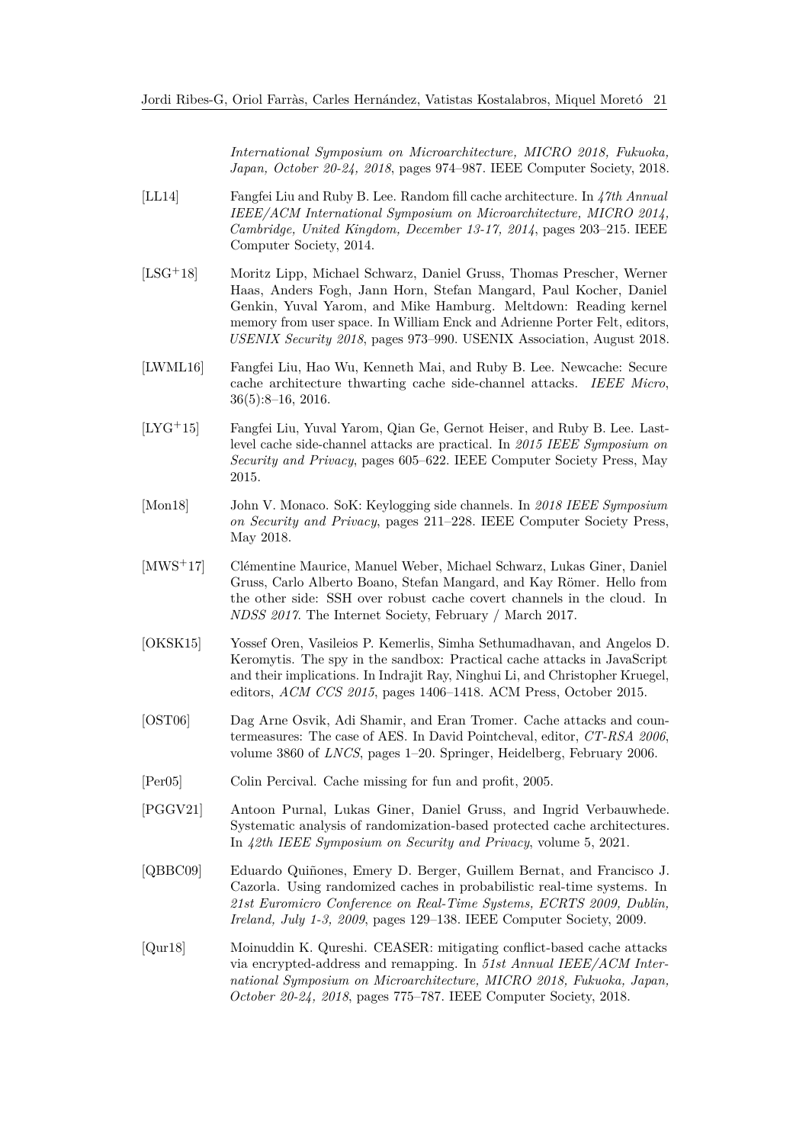*International Symposium on Microarchitecture, MICRO 2018, Fukuoka, Japan, October 20-24, 2018*, pages 974–987. IEEE Computer Society, 2018.

- <span id="page-20-8"></span>[LL14] Fangfei Liu and Ruby B. Lee. Random fill cache architecture. In *47th Annual IEEE/ACM International Symposium on Microarchitecture, MICRO 2014, Cambridge, United Kingdom, December 13-17, 2014*, pages 203–215. IEEE Computer Society, 2014.
- <span id="page-20-4"></span>[LSG+18] Moritz Lipp, Michael Schwarz, Daniel Gruss, Thomas Prescher, Werner Haas, Anders Fogh, Jann Horn, Stefan Mangard, Paul Kocher, Daniel Genkin, Yuval Yarom, and Mike Hamburg. Meltdown: Reading kernel memory from user space. In William Enck and Adrienne Porter Felt, editors, *USENIX Security 2018*, pages 973–990. USENIX Association, August 2018.
- <span id="page-20-5"></span>[LWML16] Fangfei Liu, Hao Wu, Kenneth Mai, and Ruby B. Lee. Newcache: Secure cache architecture thwarting cache side-channel attacks. *IEEE Micro*, 36(5):8–16, 2016.
- <span id="page-20-0"></span>[LYG+15] Fangfei Liu, Yuval Yarom, Qian Ge, Gernot Heiser, and Ruby B. Lee. Lastlevel cache side-channel attacks are practical. In *2015 IEEE Symposium on Security and Privacy*, pages 605–622. IEEE Computer Society Press, May 2015.
- <span id="page-20-2"></span>[Mon18] John V. Monaco. SoK: Keylogging side channels. In *2018 IEEE Symposium on Security and Privacy*, pages 211–228. IEEE Computer Society Press, May 2018.
- <span id="page-20-3"></span>[MWS<sup>+</sup>17] Clémentine Maurice, Manuel Weber, Michael Schwarz, Lukas Giner, Daniel Gruss, Carlo Alberto Boano, Stefan Mangard, and Kay Römer. Hello from the other side: SSH over robust cache covert channels in the cloud. In *NDSS 2017*. The Internet Society, February / March 2017.
- <span id="page-20-1"></span>[OKSK15] Yossef Oren, Vasileios P. Kemerlis, Simha Sethumadhavan, and Angelos D. Keromytis. The spy in the sandbox: Practical cache attacks in JavaScript and their implications. In Indrajit Ray, Ninghui Li, and Christopher Kruegel, editors, *ACM CCS 2015*, pages 1406–1418. ACM Press, October 2015.
- <span id="page-20-7"></span>[OST06] Dag Arne Osvik, Adi Shamir, and Eran Tromer. Cache attacks and countermeasures: The case of AES. In David Pointcheval, editor, *CT-RSA 2006*, volume 3860 of *LNCS*, pages 1–20. Springer, Heidelberg, February 2006.
- <span id="page-20-6"></span>[Per05] Colin Percival. Cache missing for fun and profit, 2005.
- <span id="page-20-10"></span>[PGGV21] Antoon Purnal, Lukas Giner, Daniel Gruss, and Ingrid Verbauwhede. Systematic analysis of randomization-based protected cache architectures. In *42th IEEE Symposium on Security and Privacy*, volume 5, 2021.
- <span id="page-20-11"></span>[QBBC09] Eduardo Quiñones, Emery D. Berger, Guillem Bernat, and Francisco J. Cazorla. Using randomized caches in probabilistic real-time systems. In *21st Euromicro Conference on Real-Time Systems, ECRTS 2009, Dublin, Ireland, July 1-3, 2009*, pages 129–138. IEEE Computer Society, 2009.
- <span id="page-20-9"></span>[Qur18] Moinuddin K. Qureshi. CEASER: mitigating conflict-based cache attacks via encrypted-address and remapping. In *51st Annual IEEE/ACM International Symposium on Microarchitecture, MICRO 2018, Fukuoka, Japan, October 20-24, 2018*, pages 775–787. IEEE Computer Society, 2018.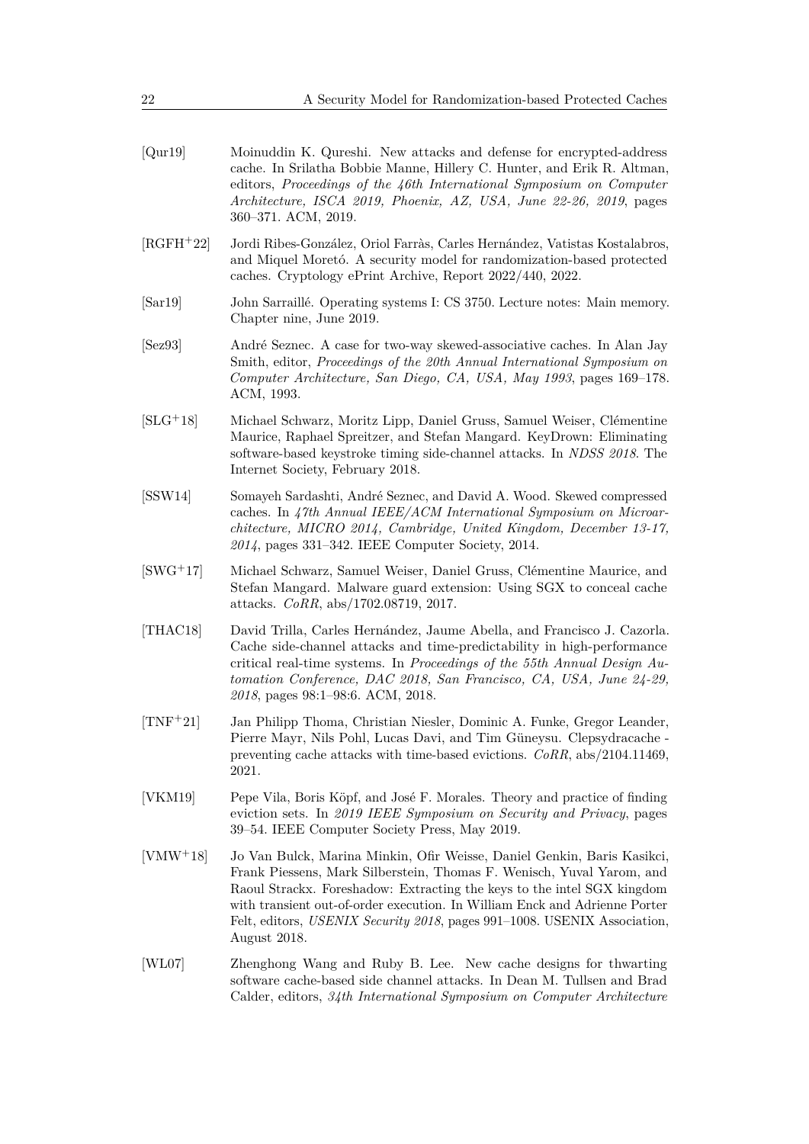<span id="page-21-3"></span>

| [Qur19] | Moinuddin K. Qureshi. New attacks and defense for encrypted-address     |
|---------|-------------------------------------------------------------------------|
|         | cache. In Srilatha Bobbie Manne, Hillery C. Hunter, and Erik R. Altman, |
|         | editors, Proceedings of the 46th International Symposium on Computer    |
|         | Architecture, ISCA 2019, Phoenix, AZ, USA, June 22-26, 2019, pages      |
|         | 360–371. ACM, 2019.                                                     |

- <span id="page-21-7"></span>[RGFH+22] Jordi Ribes-González, Oriol Farràs, Carles Hernández, Vatistas Kostalabros, and Miquel Moretó. A security model for randomization-based protected caches. Cryptology ePrint Archive, Report 2022/440, 2022.
- <span id="page-21-10"></span>[Sar19] John Sarraillé. Operating systems I: CS 3750. Lecture notes: Main memory. Chapter nine, June 2019.
- <span id="page-21-8"></span>[Sez93] André Seznec. A case for two-way skewed-associative caches. In Alan Jay Smith, editor, *Proceedings of the 20th Annual International Symposium on Computer Architecture, San Diego, CA, USA, May 1993*, pages 169–178. ACM, 1993.
- <span id="page-21-0"></span>[SLG+18] Michael Schwarz, Moritz Lipp, Daniel Gruss, Samuel Weiser, Clémentine Maurice, Raphael Spreitzer, and Stefan Mangard. KeyDrown: Eliminating software-based keystroke timing side-channel attacks. In *NDSS 2018*. The Internet Society, February 2018.
- <span id="page-21-9"></span>[SSW14] Somayeh Sardashti, André Seznec, and David A. Wood. Skewed compressed caches. In *47th Annual IEEE/ACM International Symposium on Microarchitecture, MICRO 2014, Cambridge, United Kingdom, December 13-17, 2014*, pages 331–342. IEEE Computer Society, 2014.
- <span id="page-21-2"></span>[SWG<sup>+</sup>17] Michael Schwarz, Samuel Weiser, Daniel Gruss, Clémentine Maurice, and Stefan Mangard. Malware guard extension: Using SGX to conceal cache attacks. *CoRR*, abs/1702.08719, 2017.
- <span id="page-21-6"></span>[THAC18] David Trilla, Carles Hernández, Jaume Abella, and Francisco J. Cazorla. Cache side-channel attacks and time-predictability in high-performance critical real-time systems. In *Proceedings of the 55th Annual Design Automation Conference, DAC 2018, San Francisco, CA, USA, June 24-29, 2018*, pages 98:1–98:6. ACM, 2018.
- <span id="page-21-11"></span>[TNF<sup>+</sup>21] Jan Philipp Thoma, Christian Niesler, Dominic A. Funke, Gregor Leander, Pierre Mayr, Nils Pohl, Lucas Davi, and Tim Güneysu. Clepsydracache preventing cache attacks with time-based evictions. *CoRR*, abs/2104.11469, 2021.
- <span id="page-21-4"></span>[VKM19] Pepe Vila, Boris Köpf, and José F. Morales. Theory and practice of finding eviction sets. In *2019 IEEE Symposium on Security and Privacy*, pages 39–54. IEEE Computer Society Press, May 2019.
- <span id="page-21-1"></span>[VMW<sup>+</sup>18] Jo Van Bulck, Marina Minkin, Ofir Weisse, Daniel Genkin, Baris Kasikci, Frank Piessens, Mark Silberstein, Thomas F. Wenisch, Yuval Yarom, and Raoul Strackx. Foreshadow: Extracting the keys to the intel SGX kingdom with transient out-of-order execution. In William Enck and Adrienne Porter Felt, editors, *USENIX Security 2018*, pages 991–1008. USENIX Association, August 2018.
- <span id="page-21-5"></span>[WL07] Zhenghong Wang and Ruby B. Lee. New cache designs for thwarting software cache-based side channel attacks. In Dean M. Tullsen and Brad Calder, editors, *34th International Symposium on Computer Architecture*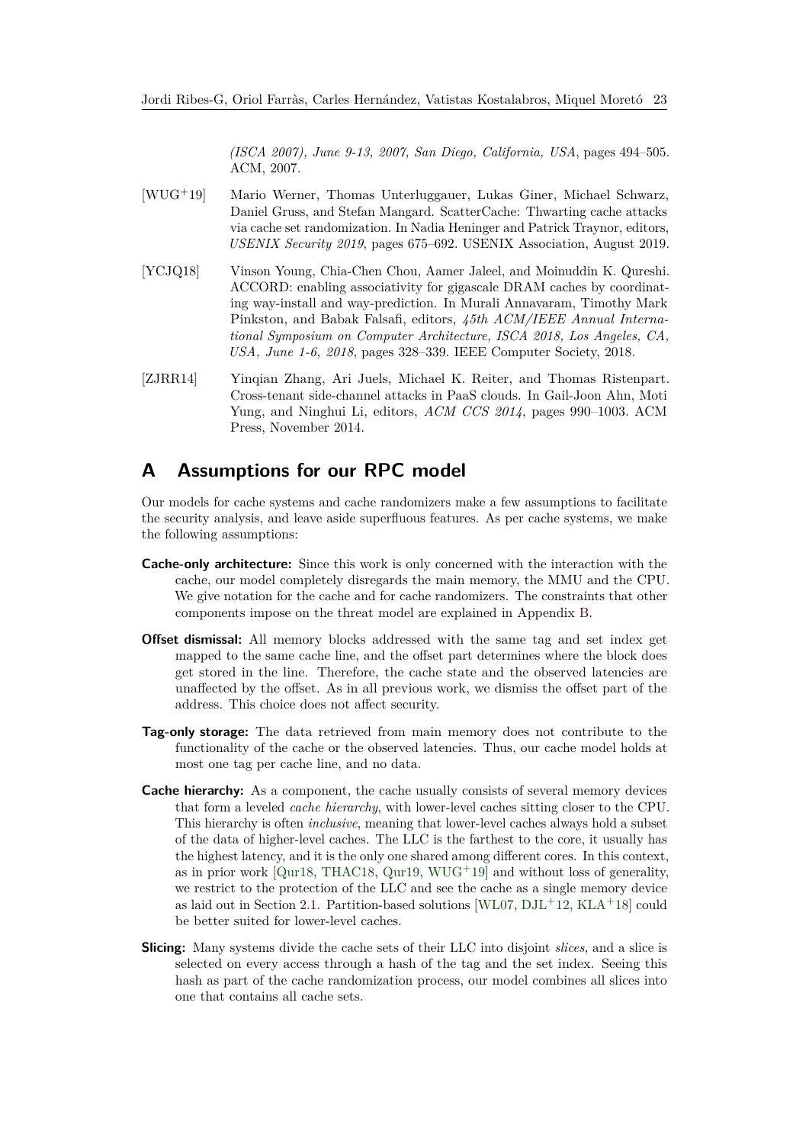*(ISCA 2007), June 9-13, 2007, San Diego, California, USA*, pages 494–505. ACM, 2007.

- <span id="page-22-1"></span>[WUG+19] Mario Werner, Thomas Unterluggauer, Lukas Giner, Michael Schwarz, Daniel Gruss, and Stefan Mangard. ScatterCache: Thwarting cache attacks via cache set randomization. In Nadia Heninger and Patrick Traynor, editors, *USENIX Security 2019*, pages 675–692. USENIX Association, August 2019.
- <span id="page-22-2"></span>[YCJQ18] Vinson Young, Chia-Chen Chou, Aamer Jaleel, and Moinuddin K. Qureshi. ACCORD: enabling associativity for gigascale DRAM caches by coordinating way-install and way-prediction. In Murali Annavaram, Timothy Mark Pinkston, and Babak Falsafi, editors, *45th ACM/IEEE Annual International Symposium on Computer Architecture, ISCA 2018, Los Angeles, CA, USA, June 1-6, 2018*, pages 328–339. IEEE Computer Society, 2018.
- <span id="page-22-0"></span>[ZJRR14] Yinqian Zhang, Ari Juels, Michael K. Reiter, and Thomas Ristenpart. Cross-tenant side-channel attacks in PaaS clouds. In Gail-Joon Ahn, Moti Yung, and Ninghui Li, editors, *ACM CCS 2014*, pages 990–1003. ACM Press, November 2014.

# <span id="page-22-3"></span>**A Assumptions for our RPC model**

Our models for cache systems and cache randomizers make a few assumptions to facilitate the security analysis, and leave aside superfluous features. As per cache systems, we make the following assumptions:

- **Cache-only architecture:** Since this work is only concerned with the interaction with the cache, our model completely disregards the main memory, the MMU and the CPU. We give notation for the cache and for cache randomizers. The constraints that other components impose on the threat model are explained in Appendix [B.](#page-23-0)
- **Offset dismissal:** All memory blocks addressed with the same tag and set index get mapped to the same cache line, and the offset part determines where the block does get stored in the line. Therefore, the cache state and the observed latencies are unaffected by the offset. As in all previous work, we dismiss the offset part of the address. This choice does not affect security.
- **Tag-only storage:** The data retrieved from main memory does not contribute to the functionality of the cache or the observed latencies. Thus, our cache model holds at most one tag per cache line, and no data.
- **Cache hierarchy:** As a component, the cache usually consists of several memory devices that form a leveled *cache hierarchy*, with lower-level caches sitting closer to the CPU. This hierarchy is often *inclusive*, meaning that lower-level caches always hold a subset of the data of higher-level caches. The LLC is the farthest to the core, it usually has the highest latency, and it is the only one shared among different cores. In this context, as in prior work  $\lceil \text{Qur18}, \text{THAC18}, \text{Qur19}, \text{WUG}^+ \text{19} \rceil$  $\lceil \text{Qur18}, \text{THAC18}, \text{Qur19}, \text{WUG}^+ \text{19} \rceil$  $\lceil \text{Qur18}, \text{THAC18}, \text{Qur19}, \text{WUG}^+ \text{19} \rceil$  and without loss of generality, we restrict to the protection of the LLC and see the cache as a single memory device as laid out in Section [2.1.](#page-3-1) Partition-based solutions [\[WL07,](#page-21-5)  $DJL+12$  $DJL+12$ ,  $KLA+18$  $KLA+18$ ] could be better suited for lower-level caches.
- **Slicing:** Many systems divide the cache sets of their LLC into disjoint *slices*, and a slice is selected on every access through a hash of the tag and the set index. Seeing this hash as part of the cache randomization process, our model combines all slices into one that contains all cache sets.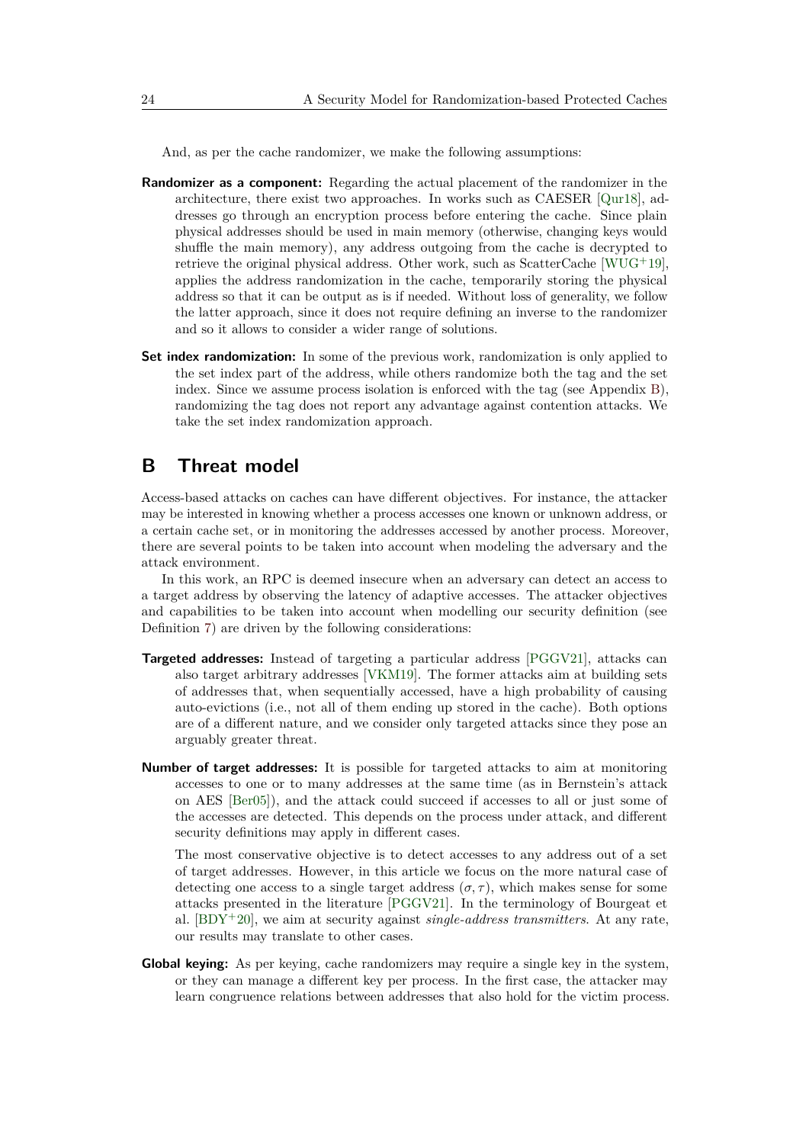And, as per the cache randomizer, we make the following assumptions:

- **Randomizer as a component:** Regarding the actual placement of the randomizer in the architecture, there exist two approaches. In works such as CAESER [\[Qur18\]](#page-20-9), addresses go through an encryption process before entering the cache. Since plain physical addresses should be used in main memory (otherwise, changing keys would shuffle the main memory), any address outgoing from the cache is decrypted to retrieve the original physical address. Other work, such as ScatterCache  $[WUG^+19]$  $[WUG^+19]$ , applies the address randomization in the cache, temporarily storing the physical address so that it can be output as is if needed. Without loss of generality, we follow the latter approach, since it does not require defining an inverse to the randomizer and so it allows to consider a wider range of solutions.
- **Set index randomization:** In some of the previous work, randomization is only applied to the set index part of the address, while others randomize both the tag and the set index. Since we assume process isolation is enforced with the tag (see Appendix [B\)](#page-23-0), randomizing the tag does not report any advantage against contention attacks. We take the set index randomization approach.

# <span id="page-23-0"></span>**B Threat model**

Access-based attacks on caches can have different objectives. For instance, the attacker may be interested in knowing whether a process accesses one known or unknown address, or a certain cache set, or in monitoring the addresses accessed by another process. Moreover, there are several points to be taken into account when modeling the adversary and the attack environment.

In this work, an RPC is deemed insecure when an adversary can detect an access to a target address by observing the latency of adaptive accesses. The attacker objectives and capabilities to be taken into account when modelling our security definition (see Definition [7\)](#page-8-1) are driven by the following considerations:

- **Targeted addresses:** Instead of targeting a particular address [\[PGGV21\]](#page-20-10), attacks can also target arbitrary addresses [\[VKM19\]](#page-21-4). The former attacks aim at building sets of addresses that, when sequentially accessed, have a high probability of causing auto-evictions (i.e., not all of them ending up stored in the cache). Both options are of a different nature, and we consider only targeted attacks since they pose an arguably greater threat.
- **Number of target addresses:** It is possible for targeted attacks to aim at monitoring accesses to one or to many addresses at the same time (as in Bernstein's attack on AES [\[Ber05\]](#page-18-2)), and the attack could succeed if accesses to all or just some of the accesses are detected. This depends on the process under attack, and different security definitions may apply in different cases.

The most conservative objective is to detect accesses to any address out of a set of target addresses. However, in this article we focus on the more natural case of detecting one access to a single target address  $(\sigma, \tau)$ , which makes sense for some attacks presented in the literature [\[PGGV21\]](#page-20-10). In the terminology of Bourgeat et al. [\[BDY](#page-18-4)<sup>+</sup>20], we aim at security against *single-address transmitters*. At any rate, our results may translate to other cases.

**Global keying:** As per keying, cache randomizers may require a single key in the system, or they can manage a different key per process. In the first case, the attacker may learn congruence relations between addresses that also hold for the victim process.